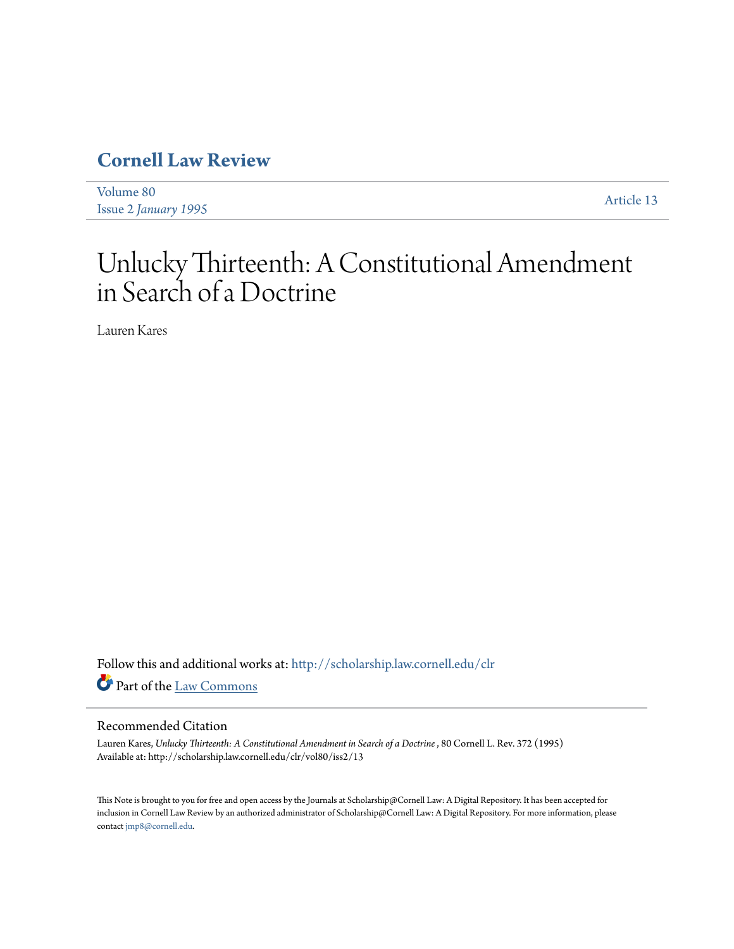# **[Cornell Law Review](http://scholarship.law.cornell.edu/clr?utm_source=scholarship.law.cornell.edu%2Fclr%2Fvol80%2Fiss2%2F13&utm_medium=PDF&utm_campaign=PDFCoverPages)**

[Volume 80](http://scholarship.law.cornell.edu/clr/vol80?utm_source=scholarship.law.cornell.edu%2Fclr%2Fvol80%2Fiss2%2F13&utm_medium=PDF&utm_campaign=PDFCoverPages) Issue 2 *[January 1995](http://scholarship.law.cornell.edu/clr/vol80/iss2?utm_source=scholarship.law.cornell.edu%2Fclr%2Fvol80%2Fiss2%2F13&utm_medium=PDF&utm_campaign=PDFCoverPages)* [Article 13](http://scholarship.law.cornell.edu/clr/vol80/iss2/13?utm_source=scholarship.law.cornell.edu%2Fclr%2Fvol80%2Fiss2%2F13&utm_medium=PDF&utm_campaign=PDFCoverPages)

# Unlucky Thirteenth: A Constitutional Amendment in Search of a Doctrine

Lauren Kares

Follow this and additional works at: [http://scholarship.law.cornell.edu/clr](http://scholarship.law.cornell.edu/clr?utm_source=scholarship.law.cornell.edu%2Fclr%2Fvol80%2Fiss2%2F13&utm_medium=PDF&utm_campaign=PDFCoverPages) Part of the [Law Commons](http://network.bepress.com/hgg/discipline/578?utm_source=scholarship.law.cornell.edu%2Fclr%2Fvol80%2Fiss2%2F13&utm_medium=PDF&utm_campaign=PDFCoverPages)

# Recommended Citation

Lauren Kares, *Unlucky Thirteenth: A Constitutional Amendment in Search of a Doctrine* , 80 Cornell L. Rev. 372 (1995) Available at: http://scholarship.law.cornell.edu/clr/vol80/iss2/13

This Note is brought to you for free and open access by the Journals at Scholarship@Cornell Law: A Digital Repository. It has been accepted for inclusion in Cornell Law Review by an authorized administrator of Scholarship@Cornell Law: A Digital Repository. For more information, please contact [jmp8@cornell.edu.](mailto:jmp8@cornell.edu)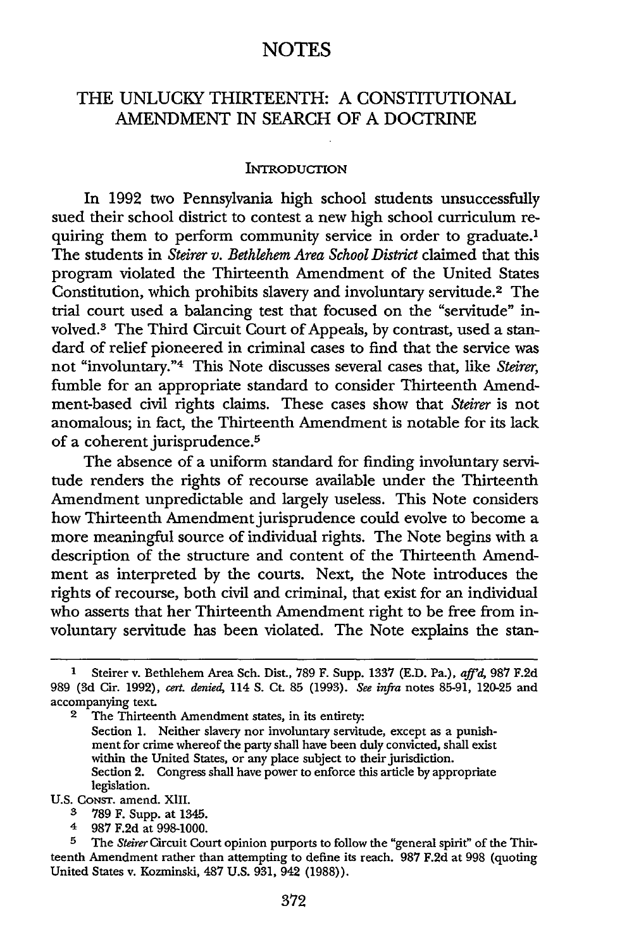# NOTES

# THE UNLUCKY THIRTEENTH: A CONSTITUTIONAL AMENDMENT IN SEARCH OF A DOCTRINE

#### **INTRODUCTION**

In 1992 two Pennsylvania high school students unsuccessfully sued their school district to contest a new high school curriculum requiring them to perform community service in order to graduate.<sup>1</sup> The students in *Steirer v. Bethlehem Area School District* claimed that this program violated the Thirteenth Amendment of the United States Constitution, which prohibits slavery and involuntary servitude.2 The trial court used a balancing test that focused on the "servitude" involved.3 The Third Circuit Court of Appeals, by contrast, used a standard of relief pioneered in criminal cases to find that the service was not "involuntary."4 This Note discusses several cases that, like *Steirer,* fumble for an appropriate standard to consider Thirteenth Amendment-based civil rights claims. These cases show that *Steirer* is not anomalous; in fact, the Thirteenth Amendment is notable for its lack of a coherent jurisprudence.<sup>5</sup>

The absence of a uniform standard for finding involuntary servitude renders the rights of recourse available under the Thirteenth Amendment unpredictable and largely useless. This Note considers how Thirteenth Amendment jurisprudence could evolve to become a more meaningful source of individual rights. The Note begins with a description of the structure and content of the Thirteenth Amendment as interpreted by the courts. Next, the Note introduces the rights of recourse, both civil and criminal, that exist for an individual who asserts that her Thirteenth Amendment right to be free from involuntary servitude has been violated. The Note explains the stan-

U.S. CONST. amend. XIII.

- **3** 789 F. Supp. at 1345.
- 4 987 F.2d at 998-1000.

**<sup>1</sup>** Steirer v. Bethlehem Area Sch. Dist., 789 F. Supp. 1337 (E.D. Pa.), *afftd* 987 F.2d **989** (3d Cir. 1992), *cert. denied,* 114 **S.** Ct. **85** (1993). *See infra* notes 85-91, 120-25 and accompanying text.

<sup>&</sup>lt;sup>2</sup> The Thirteenth Amendment states, in its entirety: Section 1. Neither slavery nor involuntary servitude, except as a punishment for crime whereof the party shall have been duly convicted, shall exist within the United States, or any place subject to their jurisdiction. Section 2. Congress shall have power to enforce this article by appropriate legislation.

**<sup>5</sup>** The *Steirer* Circuit Court opinion purports to follow the "general spirit" of the Thirteenth Amendment rather than attempting to define its reach. 987 F.2d at 998 (quoting United States v. Kozminski, 487 U.S. 931, 942 (1988)).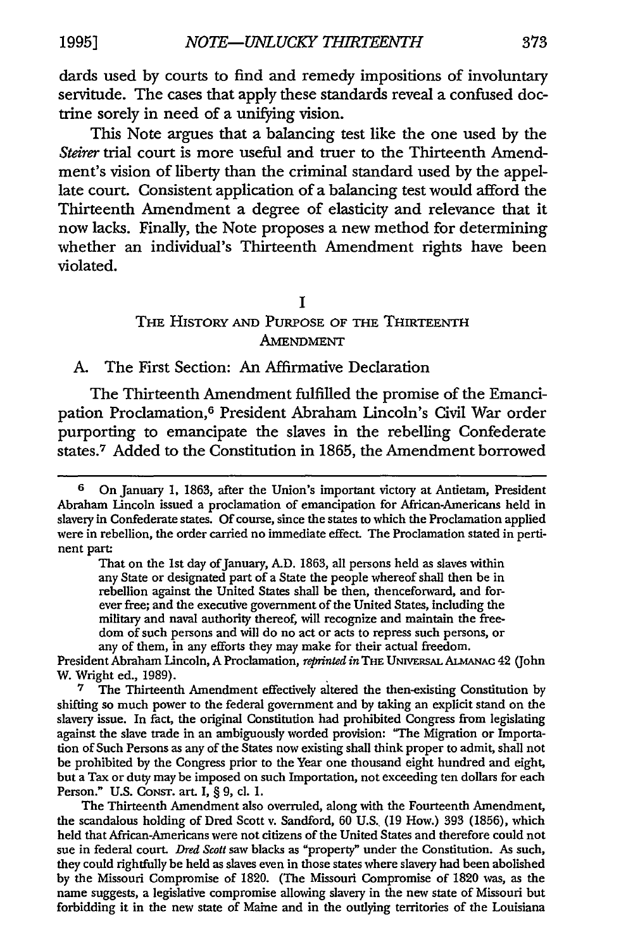dards used by courts to find and remedy impositions of involuntary servitude. The cases that apply these standards reveal a confused doctrine sorely in need of a unifying vision.

This Note argues that a balancing test like the one used by the *Steirer* trial court is more useful and truer to the Thirteenth Amendment's vision of liberty than the criminal standard used by the appellate court. Consistent application of a balancing test would afford the Thirteenth Amendment a degree of elasticity and relevance that it now lacks. Finally, the Note proposes a new method for determining whether an individual's Thirteenth Amendment rights have been violated.

#### **I**

# THE HISTORY **AND** PURPOSE OF THE THIRTEENTH AMENDMENT

# A. The First Section: An Affirmative Declaration

The Thirteenth Amendment fulfilled the promise of the Emancipation Proclamation,<sup>6</sup> President Abraham Lincoln's Civil War order purporting to emancipate the slaves in the rebelling Confederate states.7 Added to the Constitution in 1865, the Amendment borrowed

President Abraham Lincoln, A Proclamation, *repinted in* THE UNwERsAL ALMANAC 42 (John W. Wright ed., 1989).

**7** The Thirteenth Amendment effectively altered the then-existing Constitution by shifting so much power to the federal government and by taking an explicit stand on the slavery issue. In fact, the original Constitution had prohibited Congress from legislating against the slave trade in an ambiguously worded provision: "The Migration or Importation of Such Persons as any of the States now existing shall think proper to admit, shall not be prohibited by the Congress prior to the Year one thousand eight hundred and eight, but a Tax or duty may be imposed on such Importation, not exceeding ten dollars for each Person." U.S. CONST. art. I, § 9, cl. 1.

The Thirteenth Amendment also overruled, along with the Fourteenth Amendment, the scandalous holding of Dred Scott v. Sandford, 60 U.S., (19 How.) **393** (1856), which held that African-Americans were not citizens of the United States and therefore could not sue in federal court. *Dred Scott* saw blacks as "property" under the Constitution. As such, they could rightfully be held as slaves even in those states where slavery had been abolished by the Missouri Compromise of 1820. (The Missouri Compromise of 1820 was, as the name suggests, a legislative compromise allowing slavery in the new state of Missouri but forbidding it in the new state of Maine and in the outlying territories of the Louisiana

**<sup>6</sup>** On January 1, 1863, after the Union's important victory at Antietam, President Abraham Lincoln issued a proclamation of emancipation for African-Americans held in slavery in Confederate states. Of course, since the states to which the Proclamation applied were in rebellion, the order carried no immediate effect. The Proclamation stated in pertinent part:

That on the 1st day of January, A.D. 1863, all persons held as slaves within any State or designated part of a State the people whereof shall then be in rebellion against the United States shall be then, thenceforward, and forever free; and the executive government of the United States, including the military and naval authority thereof, will recognize and maintain the freedom of such persons and will do no act or acts to repress such persons, or any of them, in any efforts they may make for their actual freedom.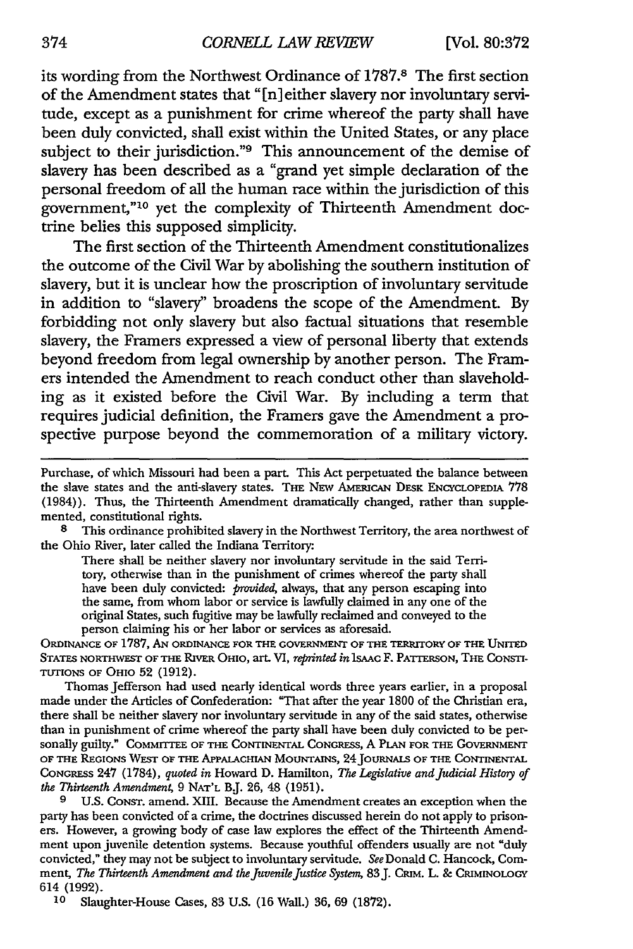its wording from the Northwest Ordinance of 1787.8 The first section of the Amendment states that "[n] either slavery nor involuntary servitude, except as a punishment for crime whereof the party shall have been duly convicted, shall exist within the United States, or any place subject to their jurisdiction."<sup>9</sup> This announcement of the demise of slavery has been described as a "grand yet simple declaration of the personal freedom of all the human race within the jurisdiction of this government,"<sup>10</sup> yet the complexity of Thirteenth Amendment doctrine belies this supposed simplicity.

The first section of the Thirteenth Amendment constitutionalizes the outcome of the Civil War by abolishing the southern institution of slavery, but it is unclear how the proscription of involuntary servitude in addition to "slavery" broadens the scope of the Amendment. By forbidding not only slavery but also factual situations that resemble slavery, the Framers expressed a view of personal liberty that extends beyond freedom from legal ownership by another person. The Framers intended the Amendment to reach conduct other than slaveholding as it existed before the Civil War. By including a term that requires judicial definition, the Framers gave the Amendment a prospective purpose beyond the commemoration of a military victory.

Purchase, of which Missouri had been a part. This Act perpetuated the balance between the slave states and the anti-slavery states. **THE** NEW AMERIC.N DESK **ENCYCLOPEDIA** 778 (1984)). Thus, the Thirteenth Amendment dramatically changed, rather than supplemented, constitutional rights.

**8** This ordinance prohibited slavery in the Northwest Territory, the area northwest of the Ohio River, later called the Indiana Territory:

There shall be neither slavery nor involuntary servitude in the said Territory, otherwise than in the punishment of crimes whereof the party shall have been duly convicted: *provided*, always, that any person escaping into the same, from whom labor or service is lawfully claimed in any one of the original States, such fugitive may be lawfully reclaimed and conveyed to the person claiming his or her labor or services as aforesaid.

**ORDINANCE** OF 1787, AN **ORDINANCE** FOR THE **GOVERNMENT** OF **THE** TERRITORY OF THE UNITED **STATES NORTHWEST** OF THE RIVER OHIO, art. VI, *reprinted* in ISAAC F. PATTERSON, THE **CONSTI-**TUTIONS OF OHIO 52 (1912).

Thomas Jefferson had used nearly identical words three years earlier, in a proposal made under the Articles of Confederation: "That after the year 1800 of the Christian era, there shall be neither slavery nor involuntary servitude in any of the said states, otherwise than in punishment of crime whereof the party shall have been duly convicted to be personally guilty." COMMITTEE **OF** THE **CONTINENTAL CONGRESS,** A **PLAN** FOR **THE** GOVERNMENT OF **THE** REGIONS WEST OF **THE APPALACHIAN MOUNTAINS,** 24JouRNA-S OF **THE CONTINENTAL CONGRESS** 247 (1784), *quoted in* Howard D. Hamilton, *The Legislative and Judicial History of the Thirteenth Amendment,* 9 **NAT'L** BJ. 26, 48 (1951).

**9** U.S. CONST. amend. XIII. Because the Amendment creates an exception when the party has been convicted of a crime, the doctrines discussed herein do not apply to prisoners. However, a growing body of case law explores the effect of the Thirteenth Amendment upon juvenile detention systems. Because youthful offenders usually are not "duly convicted," they may not be subject to involuntary servitude. *See* Donald **C.** Hancock, Comment, *The Thirteenth Amendment and the Juvenile Justice System*, 83 J. CRIM. L. & CRIMINOLOGY 614 (1992).

**10** Slaughter-House Cases, 83 U.S. (16 Wall.) 36, 69 (1872).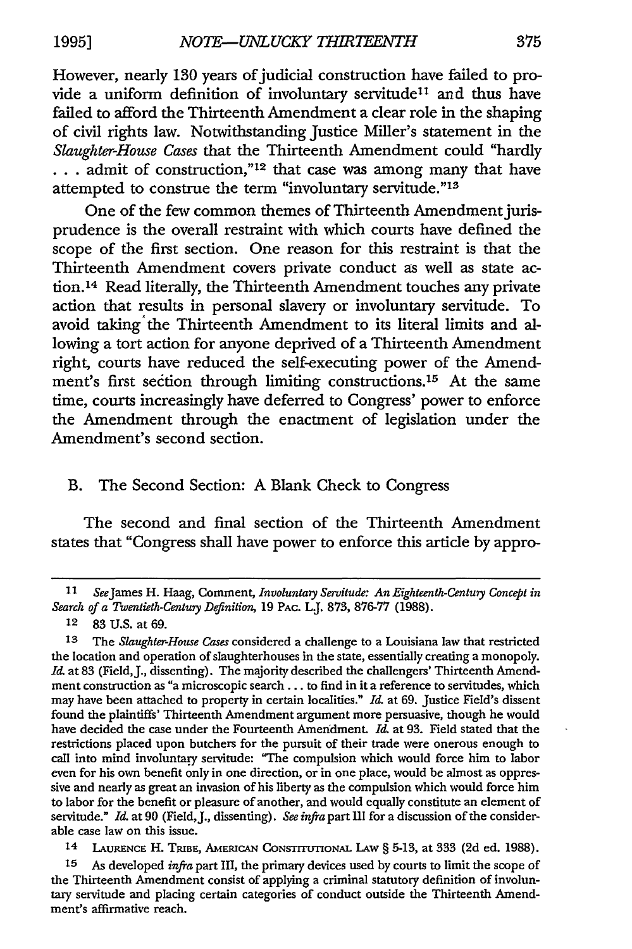However, nearly 130 years of judicial construction have failed to provide a uniform definition of involuntary servitude<sup>11</sup> and thus have failed to afford the Thirteenth Amendment a clear role in the shaping of civil fights law. Notwithstanding Justice Miller's statement in the *Slaughter-House Cases* that the Thirteenth Amendment could "hardly ... admit of construction,"<sup>12</sup> that case was among many that have attempted to construe the term "involuntary servitude."13

One of the few common themes of Thirteenth Amendment jurisprudence is the overall restraint with which courts have defined the scope of the first section. One reason for this restraint is that the Thirteenth Amendment covers private conduct as well as state action.<sup>14</sup> Read literally, the Thirteenth Amendment touches any private action that results in personal slavery or involuntary servitude. To avoid taking the Thirteenth Amendment to its literal limits and allowing a tort action for anyone deprived of a Thirteenth Amendment right, courts have reduced the self-executing power of the Amendment's first section through limiting constructions.<sup>15</sup> At the same time, courts increasingly have deferred to Congress' power to enforce the Amendment through the enactment of legislation under the Amendment's second section.

#### B. The Second Section: A Blank Check to Congress

The second and final section of the Thirteenth Amendment states that "Congress shall have power to enforce this article by appro-

14 LAURENCE H. TRIBE, AMERICAN CONSTITUTIONAL LAW § 5-13, at 333 (2d ed. 1988).

**15** As developed *infra* part III, the primary devices used **by** courts to limit the scope of the Thirteenth Amendment consist of applying a criminal statutory definition of involuntary servitude and placing certain categories of conduct outside the Thirteenth Amendment's affirmative reach.

**<sup>11</sup>** SeeJames H. Haag, Comment, *Involuntary Servitude: An Eighteenth-Century Concept in Search of a Twentieth-Century Definition,* 19 PAC. L.J. 873, 876-77 (1988).

<sup>12 83</sup> U.S. at 69.

**<sup>13</sup>** The *Slaughter-House Cases* considered a challenge to a Louisiana law that restricted the location and operation of slaughterhouses in the state, essentially creating a monopoly. *Id.* at 83 (Field, J., dissenting). The majority described the challengers' Thirteenth Amendment construction as "a microscopic search **...** to find in it a reference to servitudes, which may have been attached to property in certain localities." *Id.* at 69. Justice Field's dissent found the plaintiffs' Thirteenth Amendment argument more persuasive, though he would have decided the case under the Fourteenth Amendment. *Id.* at 93. Field stated that the restrictions placed upon butchers for the pursuit of their trade were onerous enough to call into mind involuntary servitude: "The compulsion which would force him to labor even for his own benefit only in one direction, or in one place, would be almost as oppressive and nearly as great an invasion of his liberty as the compulsion which would force him to labor for the benefit or pleasure of another, and would equally constitute an element of servitude." *Id.* at 90 (Field,J, dissenting). *See infra* part III for a discussion of the considerable case law on this issue.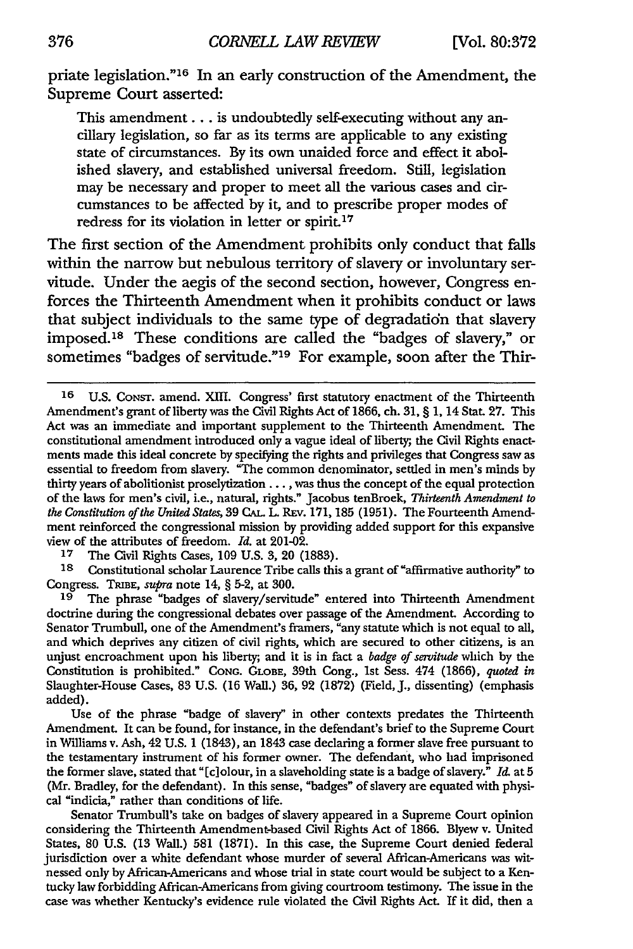priate legislation."16 In an early construction of the Amendment, the Supreme Court asserted:

This amendment... is undoubtedly self-executing without any ancillary legislation, so far as its terms are applicable to any existing state of circumstances. By its own unaided force and effect it abolished slavery, and established universal freedom. Still, legislation may be necessary and proper to meet all the various cases and circumstances to be affected by it, and to prescribe proper modes of redress for its violation in letter or spirit.<sup>17</sup>

The first section of the Amendment prohibits only conduct that falls within the narrow but nebulous territory of slavery or involuntary servitude. Under the aegis of the second section, however, Congress enforces the Thirteenth Amendment when it prohibits conduct or laws that subject individuals to the same type of degradation that slavery imposed.18 These conditions are called the "badges of slavery," or sometimes "badges of servitude."<sup>19</sup> For example, soon after the Thir-

**17** The Civil Rights Cases, 109 U.S. **3,** 20 **(1883).**

**18** Constitutional scholar Laurence Tribe calls this a grant of "affirmative authority" to Congress. TRIBE, *supra* note 14, § 5-2, at 300.

**19** The phrase "badges of slavery/servitude" entered into Thirteenth Amendment doctrine during the congressional debates over passage of the Amendment. According to Senator Trumbull, one of the Amendment's framers, "any statute which is not equal to all, and which deprives any citizen of civil rights, which are secured to other citizens, is an unjust encroachment upon his liberty; and it is in fact a *badge of servitude* which by the Constitution is prohibited." **CONG. GLOBE,** 39th Cong., 1st Sess. 474 (1866), *quoted in* Slaughter-House Cases, **83** U.S. (16 Wall.) 36, **92** (1872) (Field, J., dissenting) (emphasis added).

Use of the phrase "badge of slavery" in other contexts predates the Thirteenth Amendment. It can be found, for instance, in the defendant's brief to the Supreme Court in Williams v. Ash, 42 U.S. 1 (1843), an 1843 case declaring a former slave free pursuant to the testamentary instrument of his former owner. The defendant, who had imprisoned the former slave, stated that "[c]olour, in a slaveholding state is a badge of slavery." *Id.* at **5** (Mr. Bradley, for the defendant). In this sense, "badges" of slavery are equated with physical "indicia," rather than conditions of life.

Senator Trumbull's take on badges of slavery appeared in a Supreme Court opinion considering the Thirteenth Amendment-based Civil Rights Act of 1866. Blyew v. United States, 80 U.S. (13 Wall.) **581** (1871). In this case, the Supreme Court denied federal jurisdiction over a white defendant whose murder of several African-Americans was witnessed only by African-Americans and whose trial in state court would be subject to a Kentucky law forbidding African-Americans from giving courtroom testimony. The issue in the case was whether Kentucky's evidence rule violated the Civil Rights Act. If it did, then a

**<sup>16</sup> U.S.** CONsT. amend. XIII. Congress' first statutory enactment of the Thirteenth Amendment's grant of liberty was the Civil Rights Act of **1866,** ch. 31, § **1,** 14 Stat. 27. This Act was an immediate and important supplement to the Thirteenth Amendment. The constitutional amendment introduced only a vague ideal of liberty, the Civil Rights enactments made this ideal concrete by specifying the rights and privileges that Congress saw as essential to freedom from slavery. "The common denominator, settled in men's minds by thirty years of abolitionist proselytization . **. . ,** was thus the concept of the equal protection of the laws for men's civil, i.e., natural, rights." Jacobus tenBroek, *Thirteenth Amendment to the Constitution of the United States,* **39 CAL.** L. **REv.** 171, 185 (1951). The Fourteenth Amendment reinforced the congressional mission by providing added support for this expansive view of the attributes of freedom. *Id.* at 201-02.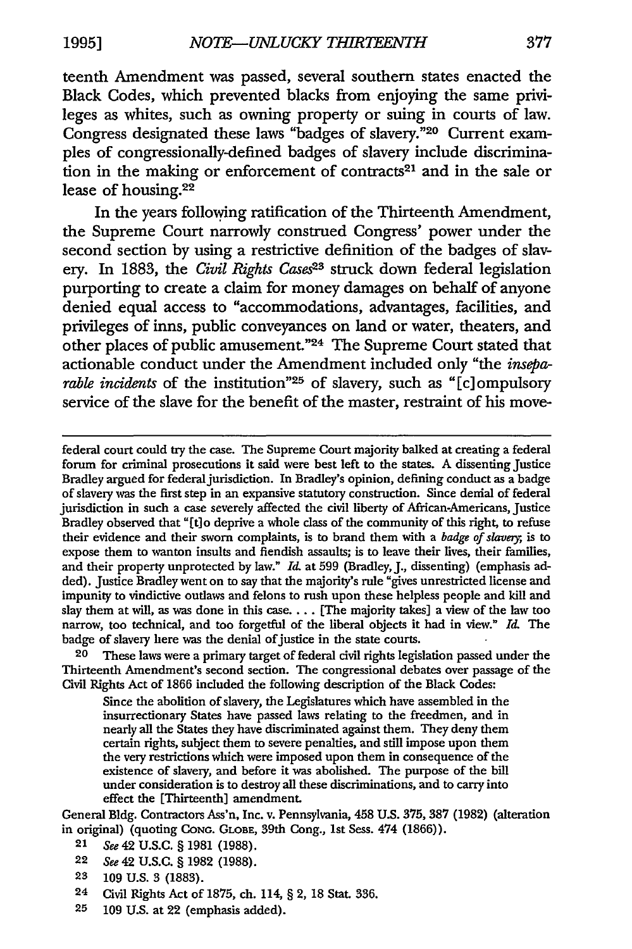teenth Amendment was passed, several southern states enacted the Black Codes, which prevented blacks from enjoying the same privileges as whites, such as owning property or suing in courts of law. Congress designated these laws "badges of slavery."20 Current examples of congressionally-defined badges of slavery include discrimination in the making or enforcement of contracts<sup>21</sup> and in the sale or lease of housing.<sup>22</sup>

In the years following ratification of the Thirteenth Amendment, the Supreme Court narrowly construed Congress' power under the second section by using a restrictive definition of the badges of slavery. In 1883, the *Civil Rights Case3s* struck down federal legislation purporting to create a claim for money damages on behalf of anyone denied equal access to "accommodations, advantages, facilities, and privileges of inns, public conveyances on land or water, theaters, and other places of public amusement."24 The Supreme Court stated that actionable conduct under the Amendment included only "the *inseparable incidents* of the institution<sup>"25</sup> of slavery, such as "[c] ompulsory service of the slave for the benefit of the master, restraint of his move-

federal court could try the case. The Supreme Court majority balked at creating a federal forum for criminal prosecutions it said were best left to the states. A dissenting Justice Bradley argued for federal jurisdiction. In Bradley's opinion, defining conduct as a badge of slavery was the first step in an expansive statutory construction. Since denial of federal jurisdiction in such a case severely affected the civil liberty of African-Americans, Justice Bradley observed that "[t]o deprive a whole class of the community of this right, to refuse their evidence and their sworn complaints, is to brand them with a *badge of* slaer, is to expose them to wanton insults and fiendish assaults; is to leave their lives, their families, and their property unprotected by law." **Id.** at 599 (Bradley, J., dissenting) (emphasis added). Justice Bradley went on to say that the majority's rule "gives unrestricted license and impunity to vindictive outlaws and felons to rush upon these helpless people and kill and slay them at will, as was done in this case.... [The majority takes] a view of the law too narrow, too technical, and too forgetful of the liberal objects it had in view." **Id-** The badge of slavery here was the denial of justice in the state courts.

20 These laws were a primary target of federal civil rights legislation passed under the Thirteenth Amendment's second section. The congressional debates over passage of the Civil Rights Act of 1866 included the following description of the Black Codes:

Since the abolition of slavery, the Legislatures which have assembled in the insurrectionary States have passed laws relating to the freedmen, and in nearly all the States they have discriminated against them. They deny them certain rights, subject them to severe penalties, and still impose upon them the very restrictions which were imposed upon them in consequence of the existence of slavery, and before it was abolished. The purpose of the bill under consideration is to destroy all these discriminations, and to carry into effect the [Thirteenth] amendment.

General Bldg. Contractors Ass'n, Inc. v. Pennsylvania, 458 U.S. 375, 387 (1982) (alteration in original) (quoting **CONG. GLOBE,** 39th Cong., 1st Sess. 474 (1866)).

- 21 *See* 42 U.S.C. § 1981 (1988).
- 22 *See* 42 U.S.C. § 1982 (1988).
- **23** 109 U.S. 3 (1883).
- 24 Civil Rights Act of 1875, ch. 114, § 2, 18 Stat. 336.
- **25** 109 U.S. at 22 (emphasis added).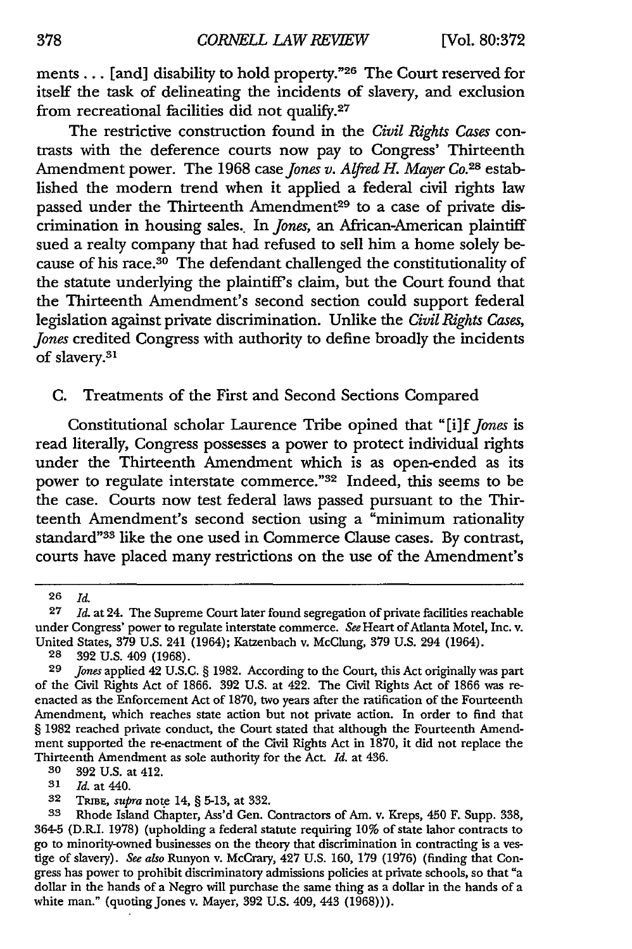ments ... [and] disability to hold property."26 The Court reserved for itself the task of delineating the incidents of slavery, and exclusion from recreational facilities did not qualify.27

The restrictive construction found in the *Civil Rights Cases* contrasts with the deference courts now pay to Congress' Thirteenth Amendment power. The 1968 case *Jones v. Alfred H. Mayer Co.28* established the modem trend when it applied a federal civil rights law passed under the Thirteenth Amendment<sup>29</sup> to a case of private discrimination in housing sales.. In *Jones,* an African-American plaintiff sued a realty company that had refused to sell him a home solely because of his race.30 The defendant challenged the constitutionality of the statute underlying the plaintiff's claim, but the Court found that the Thirteenth Amendment's second section could support federal legislation against private discrimination. Unlike the *Civil Rights Cases, Jones* credited Congress with authority to define broadly the incidents of slavery.<sup>31</sup>

#### C. Treatments of the First and Second Sections Compared

Constitutional scholar Laurence Tribe opined that "[i]f *Jones* is read literally, Congress possesses a power to protect individual rights under the Thirteenth Amendment which is as open-ended as its power to regulate interstate commerce."32 Indeed, this seems to be the case. Courts now test federal laws passed pursuant to the Thirteenth Amendment's second section using a "minimum rationality standard"33 like the one used in Commerce Clause cases. By contrast, courts have placed many restrictions on the use of the Amendment's

**30** 392 U.S. at 412.

**<sup>26</sup>** *Id.*

**<sup>27</sup>** *Id.* at 24. The Supreme Court later found segregation of private facilities reachable under Congress' power to regulate interstate commerce. *See* Heart of Atlanta Motel, Inc. v. United States, 379 U.S. 241 (1964); Katzenbach v. McClung, 379 U.S. 294 (1964).

<sup>28 392</sup> U.S. 409 (1968).

**<sup>29</sup>** Jones applied 42 U.S.C. § 1982. According to the Court, this Act originally was part of the Civil Rights Act of 1866. 392 U.S. at 422. The Civil Rights Act of 1866 was reenacted as the Enforcement Act of 1870, two years after the ratification of the Fourteenth Amendment, which reaches state action but not private action. In order to find that § 1982 reached private conduct, the Court stated that although the Fourteenth Amendment supported the re-enactment of the Civil Rights Act in 1870, it did not replace the Thirteenth Amendment as sole authority for the Act. *Id.* at 436.

**<sup>31</sup>** *Id.* at 440.

**<sup>32</sup>** TRIBE, *supra* note 14, § 5-13, at 332.

**<sup>33</sup>** Rhode Island Chapter, Ass'd Gen. Contractors of Am. v. Kreps, 450 F. Supp. 338, 364-5 (D.R.I. 1978) (upholding a federal statute requiring 10% of state labor contracts to go to minority-owned businesses on the theory that discrimination in contracting is a vestige of slavery). *See also* Runyon v. McCrary, 427 U.S. 160, 179 (1976) (finding that Congress has power to prohibit discriminatory admissions policies at private schools, so that "a dollar in the hands of a Negro will purchase the same thing as a dollar in the hands of a white man." (quoting Jones v. Mayer, 392 U.S. 409, 443  $(1968)$ ).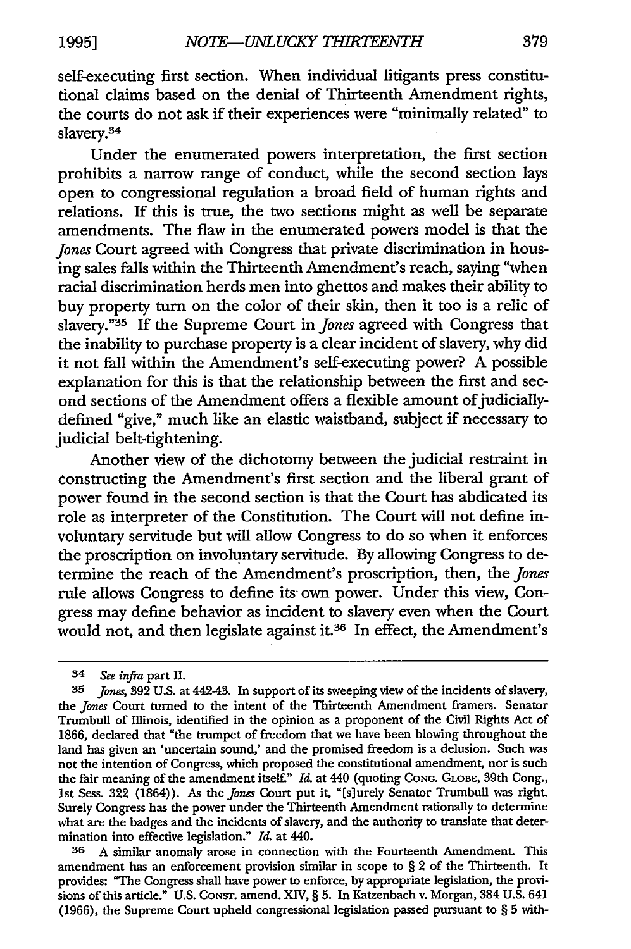self-executing first section. When individual litigants press constitutional claims based on the denial of Thirteenth Amendment rights, the courts do not ask if their experiences were "minimally related" to slavery.34

Under the enumerated powers interpretation, the first section prohibits a narrow range of conduct, while the second section lays open to congressional regulation a broad field of human rights and relations. If this is true, the two sections might as well be separate amendments. The flaw in the enumerated powers model is that the *Jones* Court agreed with Congress that private discrimination in housing sales falls within the Thirteenth Amendment's reach, saying "when racial discrimination herds men into ghettos and makes their ability to buy property turn on the color of their skin, then it too is a relic of slavery."35 If the Supreme Court in *Jones* agreed with Congress that the inability to purchase property is a clear incident of slavery, why did it not fall within the Amendment's self-executing power? A possible explanation for this is that the relationship between the first and second sections of the Amendment offers a flexible amount of judiciallydefined "give," much like an elastic waistband, subject if necessary to judicial belt-tightening.

Another view of the dichotomy between the judicial restraint in constructing the Amendment's first section and the liberal grant of power found in the second section is that the Court has abdicated its role as interpreter of the Constitution. The Court will not define involuntary servitude but will allow Congress to do so when it enforces the proscription on involuntary servitude. By allowing Congress to determine the reach of the Amendment's proscription, then, the *Jones* rule allows Congress to define its own power. Under this view, Congress may define behavior as incident to slavery even when the Court would not, and then legislate against **it.36** In effect, the Amendment's

**36** A similar anomaly arose in connection with the Fourteenth Amendment. This amendment has an enforcement provision similar in scope to § 2 of the Thirteenth. It provides: "The Congress shall have power to enforce, **by** appropriate legislation, the provisions of this article." U.S. CONsr. amend. XIV, § 5. In Katzenbach v. Morgan, 384 U.S. 641 (1966), the Supreme Court upheld congressional legislation passed pursuant to § 5 with-

**<sup>34</sup>** *See infra* part **II.**

*<sup>35</sup> Jones,* 392 U.S. at 442-43. In support of its sweeping view of the incidents of slavery, the *Jones* Court turned to the intent of the Thirteenth Amendment framers. Senator Trumbull of Illinois, identified in the opinion as a proponent of the Civil Rights Act of 1866, declared that "the trumpet of freedom that we have been blowing throughout the land has given an 'uncertain sound,' and the promised freedom is a delusion. Such was not the intention of Congress, which proposed the constitutional amendment, nor is such the fair meaning of the amendment itself." *Id.* at 440 (quoting **CONG. GLOBE,** 39th Cong., 1st Sess. 322 (1864)). As the *Jones* Court put it, "[s]urely Senator Trumbull was right. Surely Congress has the power under the Thirteenth Amendment rationally to determine what are the badges and the incidents of slavery, and the authority to translate that determination into effective legislation." *Id.* at 440.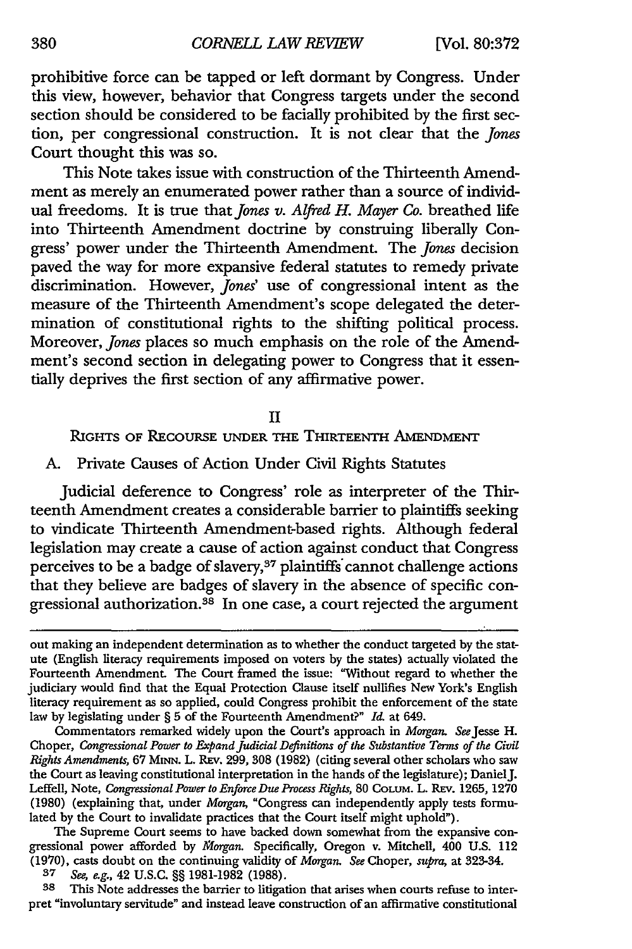prohibitive force can be tapped or left dormant by Congress. Under this view, however, behavior that Congress targets under the second section should be considered to be facially prohibited by the first section, per congressional construction. It is not clear that the *Jones* Court thought this was so.

This Note takes issue with construction of the Thirteenth Amendment as merely an enumerated power rather than a source of individual freedoms. It is true that *Jones v. Alfred H. Mayer Co.* breathed life into Thirteenth Amendment doctrine by construing liberally Congress' power under the Thirteenth Amendment. The *Jones* decision paved the way for more expansive federal statutes to remedy private discrimination. However, *Jones'* use of congressional intent as the measure of the Thirteenth Amendment's scope delegated the determination of constitutional rights to the shifting political process. Moreover, *Jones* places so much emphasis on the role of the Amendment's second section in delegating power to Congress that it essentially deprives the first section of any affirmative power.

II

RIGHTS OF RECOURSE UNDER THE THIRTEENTH AMENDMENT

**A.** Private Causes of Action Under Civil Rights Statutes

Judicial deference to Congress' role as interpreter of the Thirteenth Amendment creates a considerable barrier to plaintiffs seeking to vindicate Thirteenth Amendment-based rights. Although federal legislation may create a cause of action against conduct that Congress perceives to be a badge of slavery,<sup>37</sup> plaintiffs cannot challenge actions that they believe are badges of slavery in the absence of specific congressional authorization.<sup>38</sup> In one case, a court rejected the argument

Commentators remarked widely upon the Court's approach in *Morgan.* SeeJesse H. Choper, *Congressional Power to Expand Judicial Definitions of the Substantive Terms of the Civil Rights Amendments,* 67 MnN. L. REv. 299, 308 (1982) (citing several other scholars who saw the Court as leaving constitutional interpretation in the hands of the legislature); Daniel J. Leffell, Note, *Congressional Power to Enforce Due Process Rights,* 80 COLUM. L. REv. 1265, 1270 (1980) (explaining that, under *Morgan,* "Congress can independently apply tests formulated by the Court to invalidate practices that the Court itself might uphold").

The Supreme Court seems to have backed down somewhat from the expansive congressional power afforded by *Morgan.* Specifically, Oregon v. Mitchell, 400 U.S. 112 (1970), casts doubt on the continuing validity of *Morgan. See* Choper, *supra,* at 323-34.

*37 See, e.g.,* 42 U.S.C. §§ 1981-1982 (1988).

**38** This Note addresses the barrier to litigation that arises when courts refuse to interpret "involuntary servitude" and instead leave construction of an affirmative constitutional

out making an independent determination as to whether the conduct targeted by the statute (English literacy requirements imposed on voters by the states) actually violated the Fourteenth Amendment. The Court framed the issue: "Without regard to whether the judiciary would find that the Equal Protection Clause itself nullifies New York's English literacy requirement as so applied, could Congress prohibit the enforcement of the state law by legislating under § 5 of the Fourteenth Amendment?" *Id.* at 649.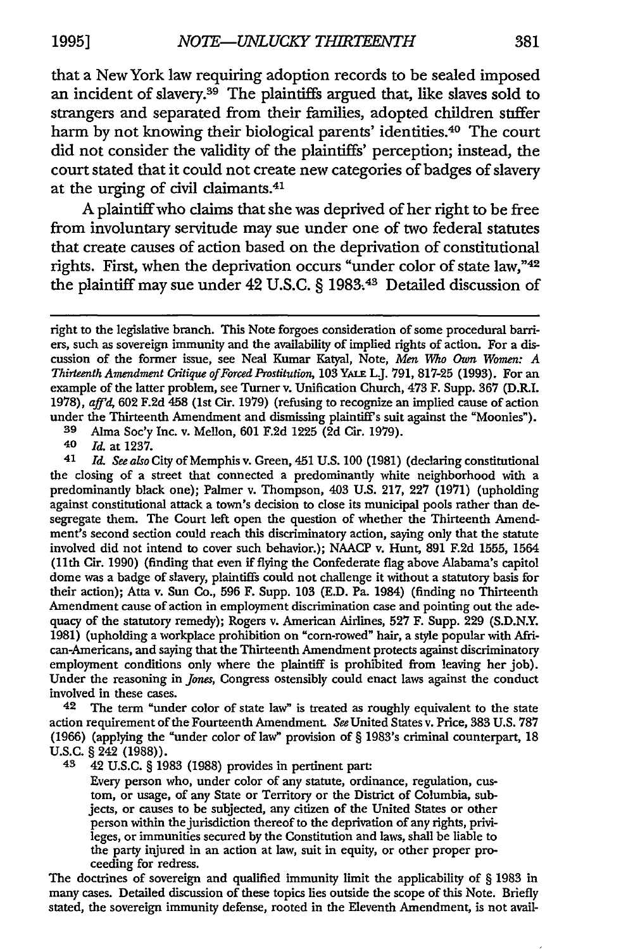that a New York law requiring adoption records to be sealed imposed an incident of slavery.39 The plaintiffs argued that, like slaves sold to strangers and separated from their families, adopted children suffer harm by not knowing their biological parents' identities.<sup>40</sup> The court did not consider the validity of the plaintiffs' perception; instead, the court stated that it could not create new categories of badges of slavery at the urging of civil claimants. <sup>41</sup>

A plaintiff who claims that she was deprived of her right to be free from involuntary servitude may sue under one of two federal statutes that create causes of action based on the deprivation of constitutional rights. First, when the deprivation occurs "under color of state law,"42 the plaintiff may sue under 42 U.S.C. § 1983.<sup>43</sup> Detailed discussion of

**39** Alma Soc'y Inc. v. Mellon, 601 F.2d 1225 (2d Cir. 1979).

**40** *Id.* at 1237.

**<sup>41</sup>***Id. See also* City of Memphis v. Green, 451 U.S. 100 (1981) (declaring constitutional the closing of a street that connected a predominantly white neighborhood with a predominantly black one); Palmer v. Thompson, 403 U.S. 217, 227 (1971) (upholding against constitutional attack a town's decision to close its municipal pools rather than desegregate them. The Court left open the question of whether the Thirteenth Amendment's second section could reach this discriminatory action, saying only that the statute involved did not intend to cover such behavior.); NAACP v. Hunt, 891 F.2d 1555, 1564 (11th Cir. 1990) (finding that even if flying the Confederate flag above Alabama's capitol dome was a badge of slavery, plaintiffs could not challenge it without a statutory basis for their action); Atta v. Sun Co., 596 F. Supp. **103** (E.D. Pa. 1984) (finding no Thirteenth Amendment cause of action in employment discrimination case and pointing out the adequacy of the statutory remedy); Rogers v. American Airlines, **527** F. Supp. 229 (S.D.N.Y. 1981) (upholding a workplace prohibition on "corn-rowed" hair, a style popular with African-Americans, and saying that the Thirteenth Amendment protects against discriminatory employment conditions only where the plaintiff is prohibited from leaving her job). Under the reasoning in *Jones,* Congress ostensibly could enact laws against the conduct involved in these cases.

42 The term "under color of state law" is treated as roughly equivalent to the state action requirement of the Fourteenth Amendment. See United States v. Price, **383** U.S. 787 (1966) (applying the "under color of law" provision of § 1983's criminal counterpart, 18 **U.S.C. §** 242 **(1988)).**

43 42 U.S.C. § 1983 (1988) provides in pertinent part:

Every person who, under color of any statute, ordinance, regulation, custom, or usage, of any State or Territory or the District of Columbia, subjects, or causes to be subjected, any citizen of the United States or other person within the jurisdiction thereof to the deprivation of any rights, privileges, or immunities secured by the Constitution and laws, shall be liable to the party injured in an action at law, suit in equity, or other proper proceeding for redress.

The doctrines of sovereign and qualified immunity limit the applicability of § 1983 in many cases. Detailed discussion of these topics lies outside the scope of this Note. Briefly stated, the sovereign immunity defense, rooted in the Eleventh Amendment, is not avail-

right to the legislative branch. This Note forgoes consideration of some procedural barriers, such as sovereign immunity and the availability of implied rights of action. For a discussion of the former issue, see Neal Kumar Katyal, Note, *Men* Who *Own Women: A Thirteenth Amendment Critique of Forced Prostitution,* **103 YALE** L.J. 791, 817-25 (1993). For an example of the latter problem, see Turner v. Unification Church, 473 F. Supp. 367 (D.R.I. 1978),  $affd$ , 602 F.2d 458 (1st Cir. 1979) (refusing to recognize an implied cause of action under the Thirteenth Amendment and dismissing plaintiff's suit against the "Moonies").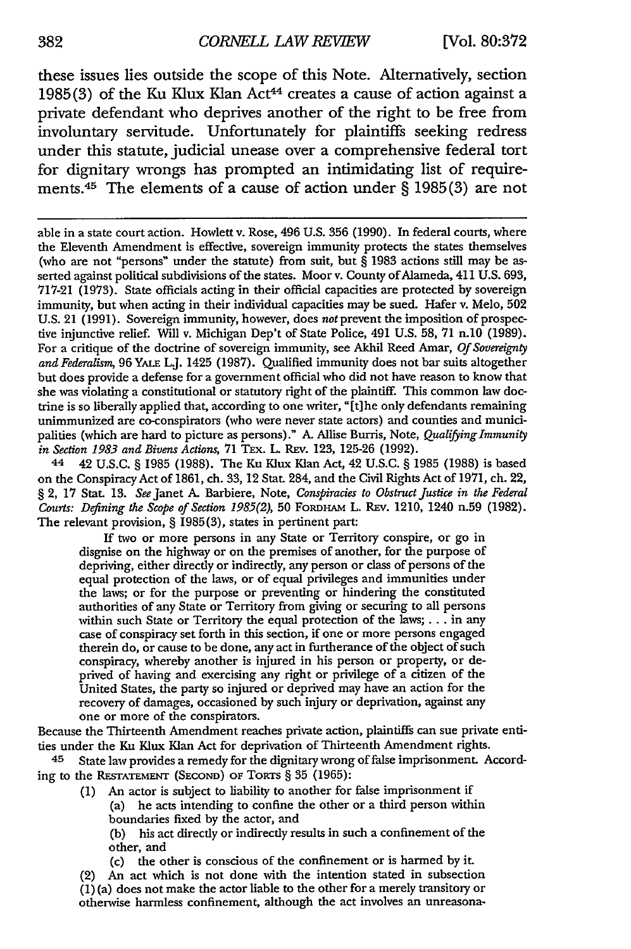these issues lies outside the scope of this Note. Alternatively, section 1985(3) of the Ku Klux Klan Act<sup>44</sup> creates a cause of action against a private defendant who deprives another of the right to be free from involuntary servitude. Unfortunately for plaintiffs seeking redress under this statute, judicial unease over a comprehensive federal tort for dignitary wrongs has prompted an intimidating list of requirements. 45 The elements of a cause of action under **§ 1985(3)** are not

able in a state court action. Howlett v. Rose, 496 U.S. 356 (1990). In federal courts, where the Eleventh Amendment is effective, sovereign immunity protects the states themselves (who are not "persons" under the statute) from suit, but § 1983 actions still may be asserted against political subdivisions of the states. Moor v. County of Alameda, 411 U.S. 693, 717-21 (1973). State officials acting in their official capacities are protected by sovereign immunity, but when acting in their individual capacities may be sued. Hafer v. Melo, 502 U.S. 21 (1991). Sovereign immunity, however, does not prevent the imposition of prospective injunctive relief. Will v. Michigan Dep't of State Police, 491 U.S. 58, 71 n.10 (1989). For a critique of the doctrine of sovereign immunity, see Akhil Reed Amar, *Of Sovereignty and Federalism,* 96 YALE L.J. 1425 (1987). Qualified immunity does not bar suits altogether but does provide a defense for a government official who did not have reason to know that she was violating a constitutional or statutory right of the plaintiff. This common law doctrine is so liberally applied that, according to one writer, "[t]he only defendants remaining unimmunized are co-conspirators (who were never state actors) and counties and municipalities (which are hard to picture as persons)." A. Allise Burris, Note, *Qualifying Immunity in Section 1983 and Bivens Actions,* 71 TEx. L. **REv.** 123, 125-26 (1992).

44 42 U.S.C. § 1985 (1988). The Ku Klux Klan Act, 42 U.S.C. § 1985 (1988) is based on the Conspiracy Act of 1861, ch. 33, 12 Stat. 284, and the Civil Rights Act of 1971, ch. 22, § 2, 17 Stat. 13. *See* Janet A. Barbiere, Note, *Conspiracies to Obstruct Justice in the Federal Courts: Defining the Scope of Section 1985(2), 50 FORDHAM L. REV. 1210, 1240 n.59 (1982).* The relevant provision, § 1985(3), states in pertinent part:

If two or more persons in any State or Territory conspire, or go in disgnise on the highway or on the premises of another, for the purpose of depriving, either directly or indirectly, any person or class of persons of the equal protection of the laws, or of equal privileges and immunities under the laws; or for the purpose or preventing or hindering the constituted authorities of any State or Territory from giving or securing to all persons within such State or Territory the equal protection of the laws; **...** in any case of conspiracy set forth in this section, if one or more persons engaged therein do, or cause to be done, any act in furtherance of the object of such conspiracy, whereby another is injured in his person or property, or deprived of having and exercising any right or privilege of a citizen of the United States, the party so injured or deprived may have an action for the recovery of damages, occasioned by such injury or deprivation, against any one or more of the conspirators.

Because the Thirteenth Amendment reaches private action, plaintiffs can sue private entities under the Ku Klux Klan Act for deprivation of Thirteenth Amendment rights.

45 State law provides a remedy for the dignitary wrong of false imprisonment. According to the RESTATEMENT (SECOND) OF TORTS § 35 (1965):

(1) An actor is subject to liability to another for false imprisonment if (a) he acts intending to confine the other or a third person within boundaries fixed by the actor, and

(b) his act directly or indirectly results in such a confinement of the other, and

(c) the other is conscious of the confinement or is harmed by it.

(2) An act which is not done with the intention stated in subsection (1) (a) does not make the actor liable to the other for a merely transitory or otherwise harmless confinement, although the act involves an unreasona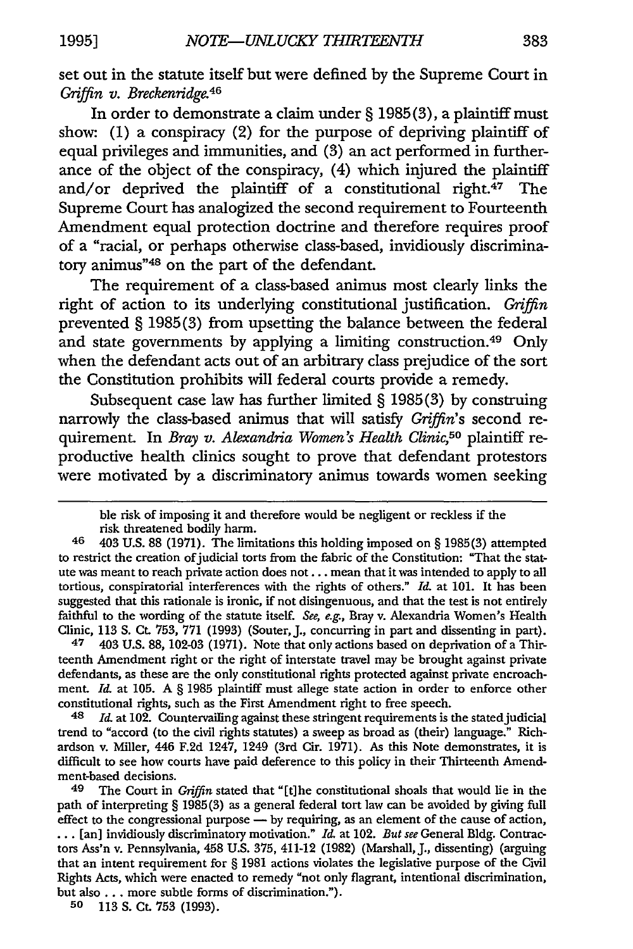set out in the statute itself but were defined by the Supreme Court in *Griffin v. Breckenridge.46*

In order to demonstrate a claim under § 1985(3), a plaintiff must show: (1) a conspiracy (2) for the purpose of depriving plaintiff of equal privileges and immunities, and (3) an act performed in furtherance of the object of the conspiracy, (4) which injured the plaintiff and/or deprived the plaintiff of a constitutional right. $47$  The Supreme Court has analogized the second requirement to Fourteenth Amendment equal protection doctrine and therefore requires proof of a "racial, or perhaps otherwise class-based, invidiously discriminatory animus"<sup>48</sup> on the part of the defendant.

The requirement of a class-based animus most clearly links the right of action to its underlying constitutional justification. *Griffin* prevented § 1985(3) from upsetting the balance between the federal and state governments by applying a limiting construction.<sup>49</sup> Only when the defendant acts out of an arbitrary class prejudice of the sort the Constitution prohibits will federal courts provide a remedy.

Subsequent case law has further limited § 1985(3) by construing narrowly the class-based animus that will satisfy Griffin's second requirement. In *Bray v. Alexandria Women's Health Clinic,50* plaintiff reproductive health clinics sought to prove that defendant protestors were motivated by a discriminatory animus towards women seeking

**47** 403 U.S. 88, 102-03 (1971). Note that only actions based on deprivation of a Thirteenth Amendment right or the right of interstate travel may be brought against private defendants, as these are the only constitutional rights protected against private encroachment. *Id.* at 105. A § 1985 plaintiff must allege state action in order to enforce other constitutional rights, such as the First Amendment right to free speech.<br><sup>48</sup> *Id.* at 102. Countervailing against these stringent requirements is

*Id.* at 102. Countervailing against these stringent requirements is the stated judicial trend to "accord (to the civil rights statutes) a sweep as broad as (their) language." Richardson v. Miller, 446 **F.2d** 1247, 1249 (3rd Cir. 1971). As this Note demonstrates, it is difficult to see how courts have paid deference to this policy in their Thirteenth Amendment-based decisions.

**49** The Court in *Griffin* stated that "[t]he constitutional shoals that would lie in the path of interpreting § 1985(3) as a general federal tort law can be avoided **by** giving full effect to the congressional purpose - by requiring, as an element of the cause of action, **... [an]** invidiously discriminatory motivation." *Id.* at 102. *But see* General Bldg. Contractors Ass'n v. Pennsylvania, 458 U.S. 375, 411-12 (1982) (Marshall, J., dissenting) (arguing that an intent requirement for § 1981 actions violates the legislative purpose of the Civil Rights Acts, which were enacted to remedy "not only flagrant, intentional discrimination, but also **...** more subtle forms of discrimination.").

**50** 113 S. Ct. **753** (1993).

ble risk of imposing it and therefore would be negligent or reckless if the risk threatened bodily harm.

**<sup>46</sup>** 403 U.S. 88 (1971). The limitations this holding imposed on § 1985(3) attempted to restrict the creation of judicial torts from the fabric of the Constitution: "That the statute was meant to reach private action does not.., mean that it was intended to apply to all tortious, conspiratorial interferences with the rights of others." *Id.* at 101. It has been suggested that this rationale is ironic, if not disingenuous, and that the test is not entirely faithful to the wording of the statute itself. *See,* e.g., Bray v. Alexandria Women's Health Clinic, **113** S. Ct. 753, 771 (1993) (Souter, J., concurring in part and dissenting in part).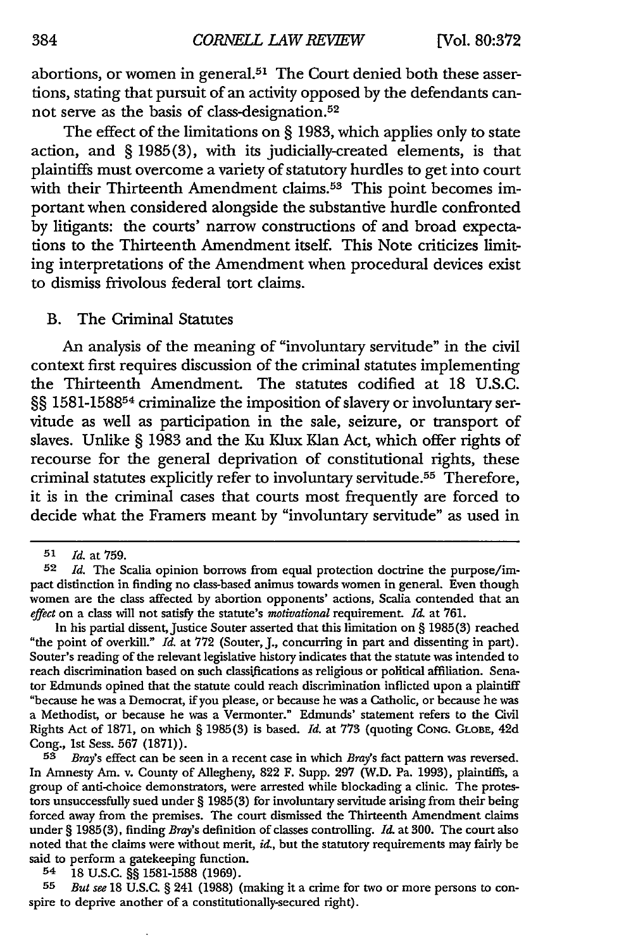abortions, or women in general.<sup>51</sup> The Court denied both these assertions, stating that pursuit of an activity opposed by the defendants cannot serve as the basis of class-designation.<sup>52</sup>

The effect of the limitations on § 1983, which applies only to state action, and § 1985(3), with its judicially-created elements, is that plaintiffs must overcome a variety of statutory hurdles to get into court with their Thirteenth Amendment claims.<sup>53</sup> This point becomes important when considered alongside the substantive hurdle confronted by litigants: the courts' narrow constructions of and broad expectations to the Thirteenth Amendment itself. This Note criticizes limiting interpretations of the Amendment when procedural devices exist to dismiss frivolous federal tort claims.

#### B. The Criminal Statutes

An analysis of the meaning of "involuntary servitude" in the civil context first requires discussion of the criminal statutes implementing the Thirteenth Amendment. The statutes codified at 18 U.S.C. §§ 1581-1588<sup>54</sup> criminalize the imposition of slavery or involuntary servitude as well as participation in the sale, seizure, or transport of slaves. Unlike § 1983 and the Ku Klux Klan Act, which offer rights of recourse for the general deprivation of constitutional rights, these criminal statutes explicitly refer to involuntary servitude.55 Therefore, it is in the criminal cases that courts most frequently are forced to decide what the Framers meant by "involuntary servitude" as used in

In his partial dissent, Justice Souter asserted that this limitation on **§ 1985(3)** reached "the point of overkill." *Id.* at **772** (Souter, **J.,** concurring in part and dissenting in part). Souter's reading of the relevant legislative history indicates that the statute was intended to reach discrimination based on such classifications as religious or political affiliation. Senator Edmunds opined that the statute could reach discrimination inflicted upon a plaintiff "because he was a Democrat, if you please, or because he was a Catholic, or because he was a Methodist, or because he was a Vermonter." Edmunds' statement refers to the Civil Rights Act of **1871,** on which § **1985(3)** is based. *Id.* at **773** (quoting **CONG. GLOBE,** 42d Cong., **1st** Sess. **567 (1871)).**

**53** *Bray's* effect can be seen in a recent case in which *Bray's* fact pattern was reversed. In Amnesty Am. v. County of Allegheny, **822** F. Supp. **297** (W.D. Pa. **1993),** plaintiffi, a group of anti-choice demonstrators, were arrested while blockading a clinic. The protestors unsuccessfully sued under **§ 1985(3)** for involuntary servitude arising from their being forced away from the premises. The court dismissed the Thirteenth Amendment claims under **§ 1985(3),** finding *Bray's* definition of classes controlling. *Id.* at **300.** The court also noted that the claims were without merit, *id.,* but the statutory requirements may fairly be said to perform a gatekeeping function.

54 **18 U.S.C. §§ 1581-1588 (1969).**

*55 But see* **18 U.S.C. §** 241 **(1988)** (making it a crime for two or more persons to conspire to deprive another of a constitutionally-secured right).

**<sup>51</sup>** *Id.* at **759.**

**<sup>52</sup>** *Id.* The Scalia opinion borrows from equal protection doctrine the purpose/impact distinction in finding no class-based animus towards women in general. Even though women are the class affected **by** abortion opponents' actions, Scalia contended that an effect on a class will not satisfy the statute's *motivational* requirement. **It.** at 761.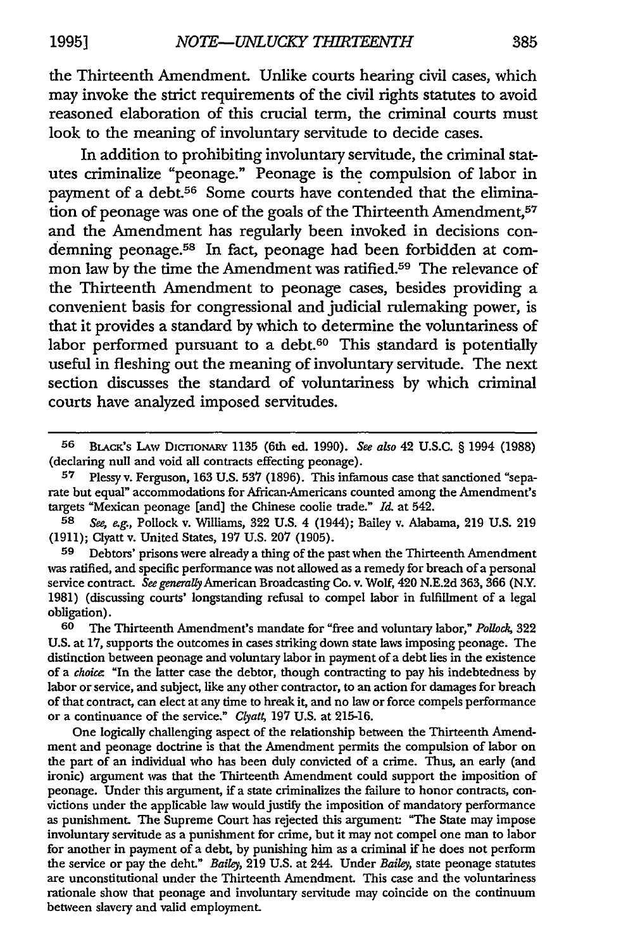the Thirteenth Amendment. Unlike courts hearing civil cases, which may invoke the strict requirements of the civil rights statutes to avoid reasoned elaboration of this crucial term, the criminal courts must look to the meaning of involuntary servitude to decide cases.

In addition to prohibiting involuntary servitude, the criminal statutes criminalize "peonage." Peonage is the compulsion of labor in payment of a debt.<sup>56</sup> Some courts have contended that the elimination of peonage was one of the goals of the Thirteenth Amendment,<sup>57</sup> and the Amendment has regularly been invoked in decisions condemning peonage.58 In fact, peonage had been forbidden at common law by the time the Amendment was ratified.<sup>59</sup> The relevance of the Thirteenth Amendment to peonage cases, besides providing a convenient basis for congressional and judicial rulemaking power, is that it provides a standard by which to determine the voluntariness of labor performed pursuant to a debt. $60$  This standard is potentially useful in fleshing out the meaning of involuntary servitude. The next section discusses the standard of voluntariness by which criminal courts have analyzed imposed servitudes.

<sup>56</sup> BLACK's LAW DICTIONARY 1135 (6th ed. 1990). *See also* 42 U.S.C. § 1994 (1988) (declaring null and void all contracts effecting peonage).

**<sup>57</sup>** Plessy v. Ferguson, 163 U.S. 537 (1896). This infamous case that sanctioned "separate but equal" accommodations for African-Americans counted among the Amendment's targets "Mexican peonage [and) the Chinese coolie trade." *Id.* at 542.

**<sup>58</sup>** *See, e.g.,* Pollock v. Williams, 322 U.S. 4 (1944); Bailey v. Alabama, 219 U.S. 219 (1911); Clyatt v. United States, 197 U.S. 207 (1905).

**<sup>59</sup>** Debtors' prisons were already a thing of the past when the Thirteenth Amendment was ratified, and specific performance was not allowed as a remedy for breach of a personal service contract. *See generally* American Broadcasting Co. v. Wolf, 420 N.E.2d 363, 366 (N.Y. 1981) (discussing courts' longstanding refusal to compel labor in fulfillment of a legal obligation).

**<sup>60</sup>** The Thirteenth Amendment's mandate for "free and voluntary labor," *Pollock,* 322 U.S. at 17, supports the outcomes in cases striking down state laws imposing peonage. The distinction between peonage and voluntary labor in payment of a debt lies in the existence of a *choice* "In the latter case the debtor, though contracting to pay his indebtedness by labor or service, and subject, like any other contractor, to an action for damages for breach of that contract, can elect at any time to break it, and no law or force compels performance or a continuance of the service." *Clyatt*, 197 U.S. at 215-16.

One logically challenging aspect of the relationship between the Thirteenth Amendment and peonage doctrine is that the Amendment permits the compulsion of labor on the part of an individual who has been duly convicted of a crime. Thus, an early (and ironic) argument was that the Thirteenth Amendment could support the imposition of peonage. Under this argument, if a state criminalizes the failure to honor contracts, convictions under the applicable law would justify the imposition of mandatory performance as punishment. The Supreme Court has rejected this argument: "The State may impose involuntary servitude as a punishment for crime, but it may not compel one man to labor for another in payment of a debt, by punishing him as a criminal if he does not perform the service or pay the debt." *Bailey,* 219 U.S. at 244. Under *Bailey,* state peonage statutes are unconstitutional under the Thirteenth Amendment. This case and the voluntariness rationale show that peonage and involuntary servitude may coincide on the continuum between slavery and valid employment.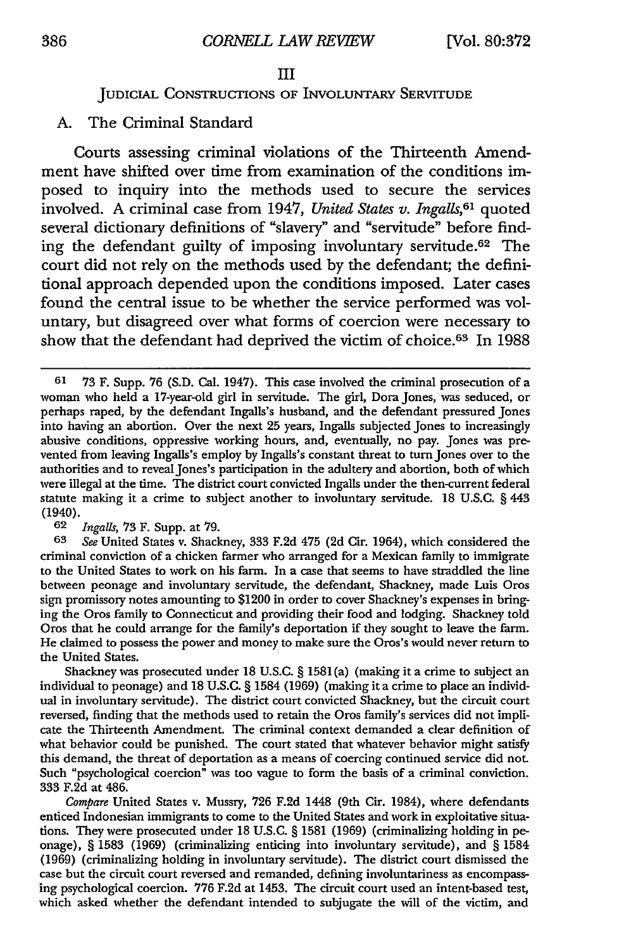# JUDICIAL CONSTRUCTIONS OF INVOLUNTARY SERVITUDE

# A. The Criminal Standard

Courts assessing criminal violations of the Thirteenth Amendment have shifted over time from examination of the conditions imposed to inquiry into the methods used to secure the services involved. A criminal case from 1947, *United States v. Ingalls,61* quoted several dictionary definitions of "slavery" and "servitude" before finding the defendant guilty of imposing involuntary servitude. 62 The court did not rely on the methods used by the defendant; the definitional approach depended upon the conditions imposed. Later cases found the central issue to be whether the service performed was voluntary, but disagreed over what forms of coercion were necessary to show that the defendant had deprived the victim of choice.<sup>63</sup> In 1988

**62** *Ingalls,* 73 F. Supp. at 79.

*63 See* United States v. Shackney, 333 F.2d 475 (2d Cir. 1964), which considered the criminal conviction of a chicken farmer who arranged for a Mexican family to immigrate to the United States to work on his farm. In a case that seems to have straddled the line between peonage and involuntary servitude, the defendant, Shackney, made Luis Oros sign promissory notes amounting to \$1200 in order to cover Shackney's expenses in bringing the Oros family to Connecticut and providing their food and lodging. Shackney told Oros that he could arrange for the family's deportation if they sought to leave the farm. He claimed to possess the power and money to make sure the Oros's would never return to the United States.

Shackney was prosecuted under 18 U.S.C. § 1581(a) (making it a crime to subject an individual to peonage) and 18 U.S.C. § 1584 (1969) (making it a crime to place an individual in involuntary servitude). The district court convicted Shackney, but the circuit court reversed, finding that the methods used to retain the Oros family's services did not implicate the Thirteenth Amendment. The criminal context demanded a clear definition of what behavior could be punished. The court stated that whatever behavior might satisfy this demand, the threat of deportation as a means of coercing continued service did not. Such "psychological coercion" was too vague to form the basis of a criminal conviction. 333 F.2d at 486.

*Compare* United States v. Mussry, 726 F.2d 1448 (9th Cir. 1984), where defendants enticed Indonesian immigrants to come to the United States and work in exploitative situations. They were prosecuted under 18 U.S.C. § 1581 (1969) (criminalizing holding in peonage), § 1583 (1969) (criminalizing enticing into involuntary servitude), and § 1584 (1969) (criminalizing holding in involuntary servitude). The district court dismissed the case but the circuit court reversed and remanded, defining involuntariness as encompassing psychological coercion. 776 F.2d at 1453. The circuit court used an intent-based test, which asked whether the defendant intended to subjugate the will of the victim, and

**<sup>61</sup>** 73 F. Supp. 76 (S.D. Cal. 1947). This case involved the criminal prosecution of a woman who held a 17-year-old girl in servitude. The girl, Dora Jones, was seduced, or perhaps raped, by the defendant Ingalls's husband, and the defendant pressured Jones into having an abortion. Over the next 25 years, Ingalls subjected Jones to increasingly abusive conditions, oppressive working hours, and, eventually, no pay. Jones was prevented from leaving Ingalls's employ by Ingalls's constant threat to turn Jones over to the authorities and to reveal Jones's participation in the adultery and abortion, both of which were illegal at the time. The district court convicted Ingalls under the then-current federal statute making it a crime to subject another to involuntary servitude. 18 U.S.C. § 443 (1940).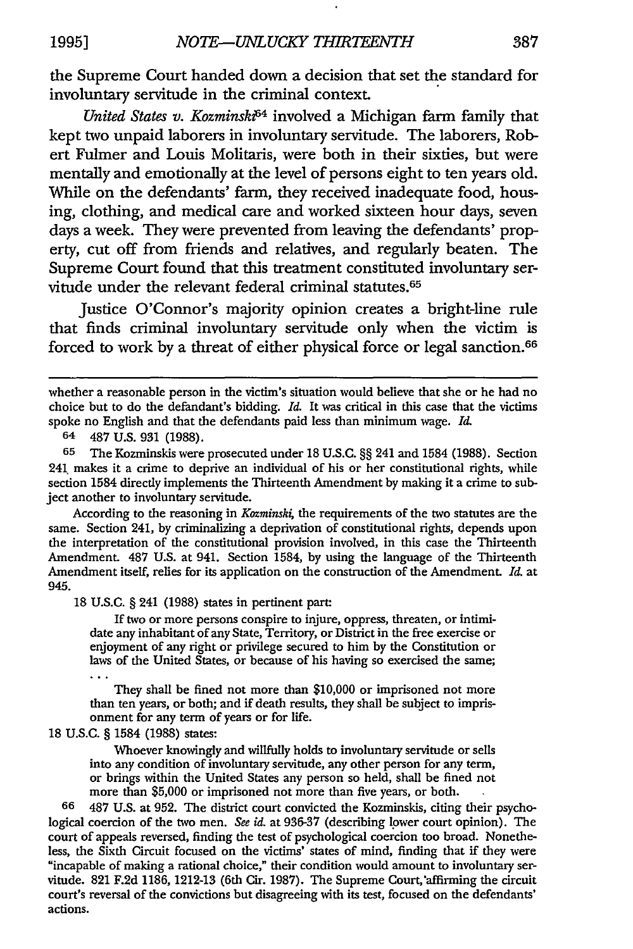the Supreme Court handed down a decision that set the standard for involuntary servitude in the criminal context.

*United States v. Kozminski5* involved a Michigan farm family that kept two unpaid laborers in involuntary servitude. The laborers, Robert Fulmer and Louis Molitaris, were both in their sixties, but were mentally and emotionally at the level of persons eight to ten years old. While on the defendants' farm, they received inadequate food, housing, clothing, and medical care and worked sixteen hour days, seven days a week. They were prevented from leaving the defendants' property, cut off from friends and relatives, and regularly beaten. The Supreme Court found that this treatment constituted involuntary servitude under the relevant federal criminal statutes.<sup>65</sup>

Justice O'Connor's majority opinion creates a bright-line rule that finds criminal involuntary servitude only when the victim is forced to work by a threat of either physical force or legal sanction.<sup>66</sup>

According to the reasoning in *Kozminski,* the requirements of the two statutes are the same. Section 241, by criminalizing a deprivation of constitutional rights, depends upon the interpretation of the constitutional provision involved, in this case the Thirteenth Amendment. 487 U.S. at 941. Section 1584, by using the language of the Thirteenth Amendment itself, relies for its application on the construction of the Amendment *Id.* at 945.

18 U.S.C. § 241 (1988) states in pertinent part:

If two or more persons conspire to injure, oppress, threaten, or intimidate any inhabitant of any State, Territory, or District in the free exercise or enjoyment of any right or privilege secured to him by the Constitution or laws of the United States, or because of his having so exercised the same;

They shall be fined not more than \$10,000 or imprisoned not more than ten years, or both; and if death results, they shall be subject to imprisonment for any term of years or for life.

18 U.S.C. § 1584 (1988) states:

Whoever knowingly and willfully holds to involuntary servitude or sells into any condition of involuntary servitude, any other person for any term, or brings within the United States any person so held, shall be fined not more than \$5,000 or imprisoned not more than five years, or both.

**66** 487 U.S. at 952. The district court convicted the Kozminskis, citing their psychological coercion of the two men. *See id.* at **936-37** (describing lower court opinion). The court of appeals reversed, finding the test of psychological coercion too broad. Nonetheless, the Sixth Circuit focused on the victims' states of mind, finding that if they were "incapable of making a rational choice," their condition would amount to involuntary servitude. 821 F.2d 1186, 1212-13 (6th Cir. 1987). The Supreme Court,'affirming the circuit court's reversal of the convictions but disagreeing with its test, focused on the defendants' actions.

whether a reasonable person in the victim's situation would believe that she or he had no choice but to do the defandant's bidding. *Id.* It was critical in this case that the victims spoke no English and that the defendants paid less than minimum wage. *Id.*

<sup>64 487</sup> U.S. 931 (1988).

**<sup>65</sup>** The Kozminskis were prosecuted under 18 U.S.C. §§ 241 and 1584 (1988). Section 241 makes it a crime to deprive an individual of his or her constitutional rights, while section 1584 directly implements the Thirteenth Amendment by making it a crime to subject another to involuntary servitude.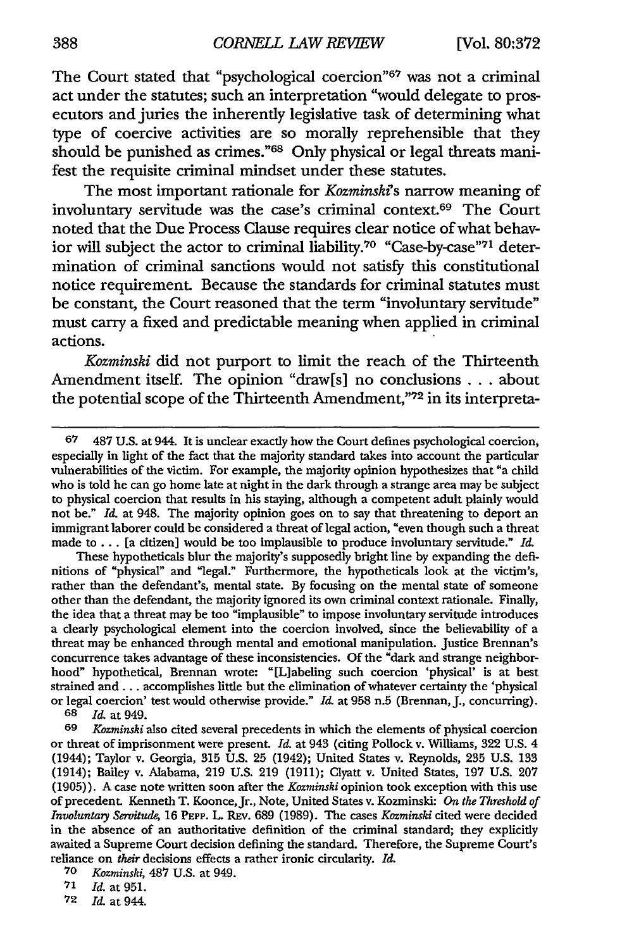The Court stated that "psychological coercion"<sup>67</sup> was not a criminal act under the statutes; such an interpretation "would delegate to prosecutors and juries the inherently legislative task of determining what type of coercive activities are so morally reprehensible that they should be punished as crimes."68 Only physical or legal threats manifest the requisite criminal mindset under these statutes.

The most important rationale for Kozminski's narrow meaning of involuntary servitude was the case's criminal context.69 The Court noted that the Due Process Clause requires clear notice of what behavior will subject the actor to criminal liability.70 "Case-by-case"71 determination of criminal sanctions would not satisfy this constitutional notice requirement. Because the standards for criminal statutes must be constant, the Court reasoned that the term "involuntary servitude" must carry a fixed and predictable meaning when applied in criminal actions.

*Kozminski* did not purport to limit the reach of the Thirteenth Amendment itself. The opinion "draw[s] no conclusions . . . about the potential scope of the Thirteenth Amendment,"72 in its interpreta-

These hypotheticals blur the majority's supposedly bright line by expanding the definitions of "physical" and "legal." Furthermore, the hypotheticals look at the victim's, rather than the defendant's, mental state. By focusing on the mental state of someone other than the defendant, the majority ignored its own criminal context rationale. Finally, the idea that a threat may be too "implausible" to impose involuntary servitude introduces a clearly psychological element into the coercion involved, since the believability of a threat may be enhanced through mental and emotional manipulation. Justice Brennan's concurrence takes advantage of these inconsistencies. **Of** the "dark and strange neighborhood" hypothetical, Brennan wrote: "[L]abeling such coercion 'physical' is at best strained **and...** accomplishes little but the elimination of whatever certainty the 'physical or legal coercion' test would otherwise provide." *Id.* at **958** n.5 (Brennan, J., concurring).

**68** *Id.* at 949.

**69** *Kozminski* also cited several precedents in which the elements of physical coercion or threat of imprisonment were present. *Id.* at 943 (citing Pollock v. Williams, 322 U.S. 4 (1944); Taylor v. Georgia, 315 U.S. 25 (1942); United States v. Reynolds, **235** U.S. 133 (1914); Bailey v. Alabama, 219 U.S. 219 (1911); Clyatt v. United States, **197** U.S. 207 (1905)). **A** case note written soon after the *Kozminski* opinion took exception with this use of precedent. Kenneth T. Koonce,Jr., Note, United States v. Kozminski: *On the Threshold of Involuntary Servitude, 16 PEPP. L. REV. 689 (1989). The cases <i>Kozminski* cited were decided in the absence of an authoritative definition of the criminal standard; they explicitly awaited a Supreme Court decision defining the standard. Therefore, the Supreme Court's reliance on *their* decisions effects a rather ironic circularity. *Id.*

**70** *Kozminski,* 487 U.S. at 949.

**71** *Id.* at 951.

**72** *Id.* at 944.

**<sup>67 487</sup> U.S.** at 944. It is unclear exactly how the Court defines psychological coercion, especially in light of the fact that the majority standard takes into account the particular vulnerabilities of the victim. For example, the majority opinion hypothesizes that "a child who is told he can go home late at night in the dark through a strange area may be subject to physical coercion that results in his staying, although a competent adult plainly would not be." *Id.* at 948. The majority opinion goes on to say that threatening to deport an immigrant laborer could be considered a threat of legal action, "even though such a threat made to... [a citizen] would be too implausible to produce involuntary servitude." *Id.*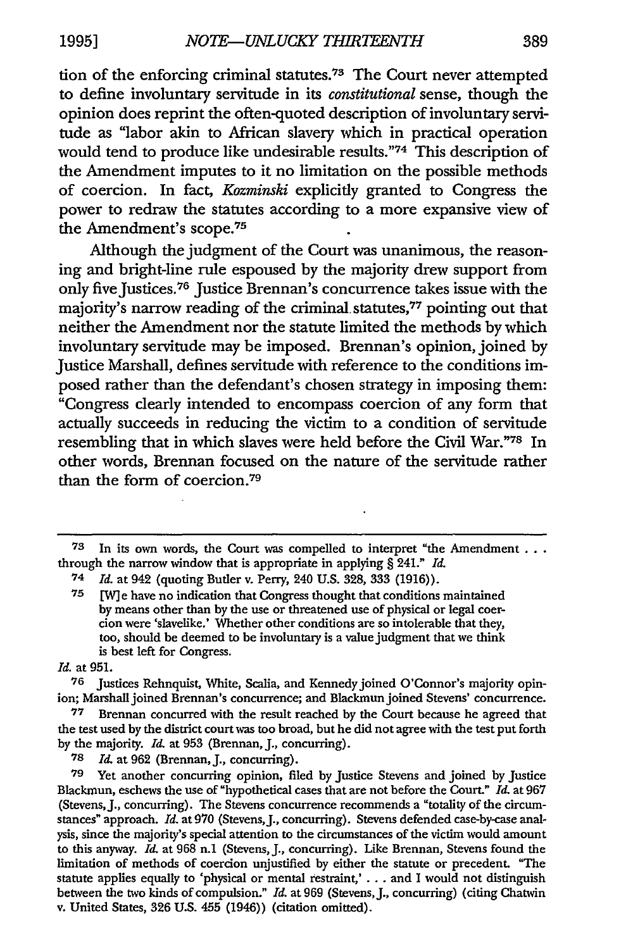tion of the enforcing criminal statutes.73 The Court never attempted to define involuntary servitude in its *constitutional* sense, though the opinion does reprint the often-quoted description of involuntary servitude as "labor akin to African slavery which in practical operation would tend to produce like undesirable results."74 This description of the Amendment imputes to it no limitation on the possible methods of coercion. In fact, *Kozminski* explicitly granted to Congress the power to redraw the statutes according to a more expansive view of the Amendment's scope.<sup>75</sup>

Although the judgment of the Court was unanimous, the reasoning and bright-line rule espoused by the majority drew support from only five Justices.<sup>76</sup> Justice Brennan's concurrence takes issue with the majority's narrow reading of the criminal statutes, 77 pointing out that neither the Amendment nor the statute limited the methods by which involuntary servitude may be imposed. Brennan's opinion, joined by Justice Marshall, defines servitude with reference to the conditions imposed rather than the defendant's chosen strategy in imposing them: "Congress clearly intended to encompass coercion of any form that actually succeeds in reducing the victim to a condition of servitude resembling that in which slaves were held before the Civil War."78 In other words, Brennan focused on the nature of the servitude rather than the form of coercion.<sup>79</sup>

*Id.* at 951.

**77** Brennan concurred with the result reached by the Court because he agreed that the test used by the district court was too broad, but he did not agree with the test put forth **by** the majority. *Id.* at 953 (Brennan, J., concurring).

**78** *Id.* at 962 (Brennan, J., concurring).

**79** Yet another concurring opinion, filed by Justice Stevens and joined by Justice Blackmun, eschews the use of"hypothetical cases that are not before the Court." *Id.* at 967 (Stevens, **J.,** concurring). The Stevens concurrence recommends a "totality of the circumstances" approach. *Id.* at 970 (Stevens,J., concurring). Stevens defended case-by-case analysis, since the majority's special attention to the circumstances of the victim would amount to this anyway. *Id.* at 968 n.1 (Stevens, J., concurring). Like Brennan, Stevens found the limitation of methods of coercion unjustified by either the statute or precedent. "The statute applies equally to 'physical or mental restraint,' ... and I would not distinguish between the two kinds of compulsion." *Id.* at 969 (Stevens, **J.,** concurring) (citing Chatwin v. United States, 326 U.S. 455 (1946)) (citation omitted).

**<sup>73</sup>** In its own words, the Court was compelled to interpret "the Amendment **. . .** through the narrow window that is appropriate in applying § 241." *Id.*

**<sup>74</sup>** *Id.* at 942 (quoting Butler v. Perry, 240 U.S. 328, 333 (1916)).

**<sup>75</sup>** [W]e have no indication that Congress thought that conditions maintained by means other than by the use or threatened use of physical or legal coercion were 'slavelike.' Whether other conditions are so intolerable that they, too, should be deemed to be involuntary is a value judgment that we think is best left for Congress.

**<sup>76</sup>** Justices Rehnquist, White, Scalia, and Kennedy joined O'Connor's majority opinion; Marshall joined Brennan's concurrence; and Blackmunjoined Stevens' concurrence.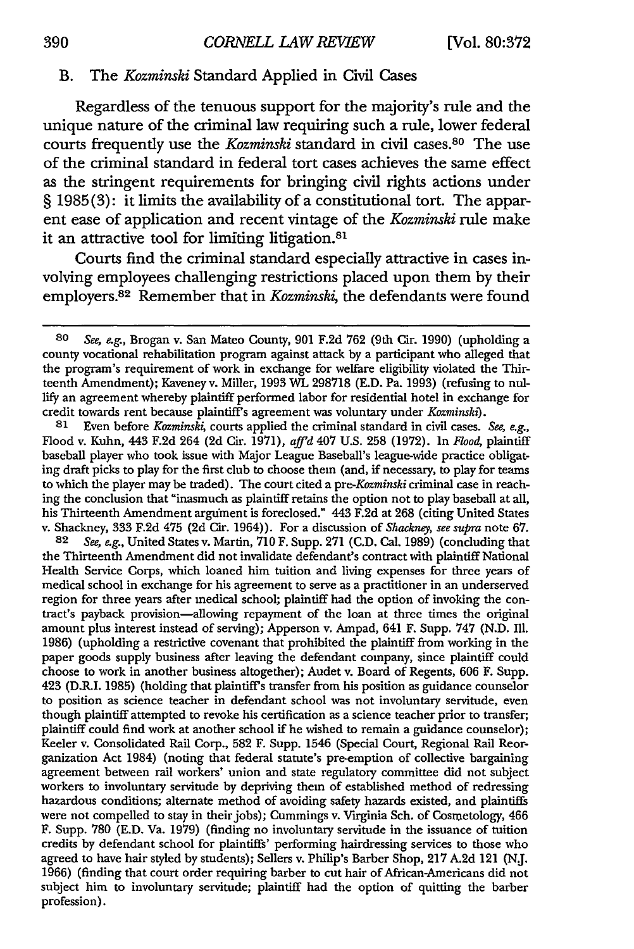#### B. The *Kozminski* Standard Applied in Civil Cases

Regardless of the tenuous support for the majority's rule and the unique nature of the criminal law requiring such a rule, lower federal courts frequently use the *Kozminski* standard in civil cases.80 The use of the criminal standard in federal tort cases achieves the same effect as the stringent requirements for bringing civil rights actions under § 1985 (3): it limits the availability of a constitutional tort. The apparent ease of application and recent vintage of the *Kozminski* rule make it an attractive tool for limiting litigation.<sup>81</sup>

Courts find the criminal standard especially attractive in cases involving employees challenging restrictions placed upon them by their employers.82 Remember that in *Kozminski,* the defendants were found

**81** Even before *Kozminsk4* courts applied the criminal standard in civil cases. *See, e.g.,* Flood v. Kuhn, 443 F.2d 264 (2d Cir. 1971), *affid* 407 U.S. 258 (1972). In *Flood,* plaintiff baseball player who took issue with Major League Baseball's league-wide practice obligating draft picks to play for the first club to choose them (and, if necessary, to play for teams to which the player may be traded). The court cited a *pre-Kozminski* criminal case in reaching the conclusion that "inasmuch as plaintiff retains the option not to play baseball at all, his Thirteenth Amendment argument is foreclosed." 443 F.2d at 268 (citing United States v. Shackney, 333 F.2d 475 (2d Cir. 1964)). For a discussion of *Shackney, see supra* note 67.

**82** *See, e.g.,* United States v. Martin, **710** F. Supp. 271 (C.D. Cal. 1989) (concluding that the Thirteenth Amendment did not invalidate defendant's contract with plaintiff National Health Service Corps, which loaned him tuition and living expenses for three years of medical school in exchange for his agreement to serve as a practitioner in an underserved region for three years after medical school; plaintiff had the option of invoking the contract's payback provision-allowing repayment of the loan at three times the original amount plus interest instead of serving); Apperson v. Ampad, 641 F. Supp. 747 (N.D. Ill. 1986) (upholding a restrictive covenant that prohibited the plaintiff from working in the paper goods supply business after leaving the defendant company, since plaintiff could choose to work in another business altogether); Audet v. Board of Regents, **606** F. Supp. 423 (D.R.I. 1985) (holding that plaintiffs transfer from his position as guidance counselor to position as science teacher in defendant school was not involuntary servitude, even though plaintiff attempted to revoke his certification as a science teacher prior to transfer, plaintiff could find work at another school if he wished to remain a guidance counselor); Keeler v. Consolidated Rail Corp., 582 F. Supp. 1546 (Special Court, Regional Rail Reorganization Act 1984) (noting that federal statute's pre-emption of collective bargaining agreement between rail workers' union and state regulatory committee did not subject workers to involuntary servitude by depriving them of established method of redressing hazardous conditions; alternate method of avoiding safety hazards existed, and plaintiffi were not compelled to stay in their jobs); Cummings v. Virginia Sch. of Cosmetology, 466 F. Supp. **780** (E.D. Va. 1979) (finding no involuntary servitude in the issuance of tuition credits by defendant school for plaintiffs' performing hairdressing services to those who agreed to have hair styled by students); Sellers v. Philip's Barber Shop, **217** A.2d 121 (N.J. 1966) (finding that court order requiring barber to cut hair of African-Americans did not subject him to involuntary servitude; plaintiff had the option of quitting the barber profession).

*<sup>80</sup> See, e.g.,* Brogan v. San Mateo County, 901 F.2d 762 (9th Cir. 1990) (upholding a county vocational rehabilitation program against attack by a participant who alleged that the program's requirement of work in exchange for welfare eligibility violated the Thirteenth Amendment); Kaveney v. Miller, 1993 WL 298718 (E.D. Pa. 1993) (refusing to nul**lify** an agreement whereby plaintiff performed labor for residential hotel in exchange for credit towards rent because plaintiff's agreement was voluntary under *Kozminski*).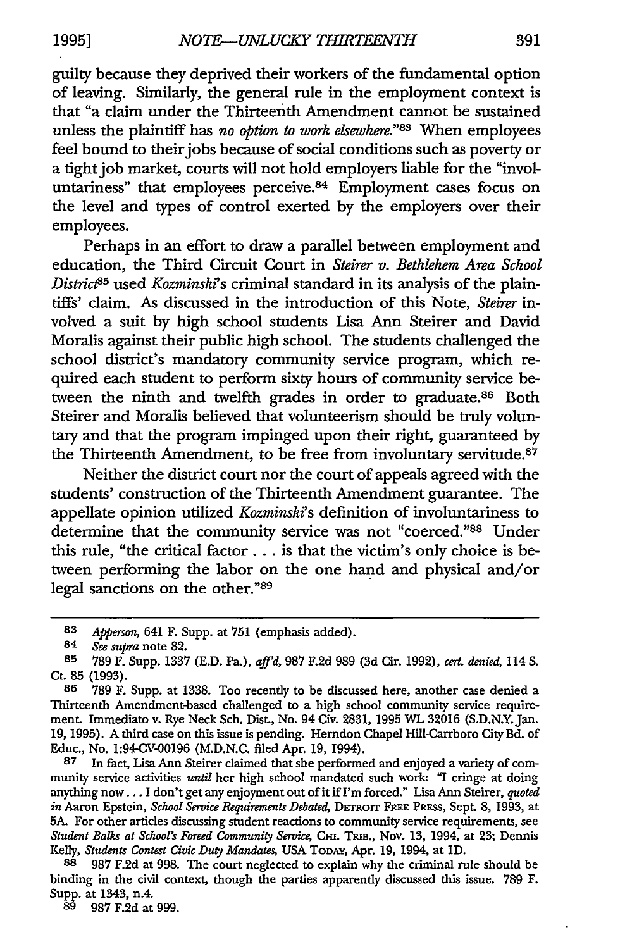guilty because they deprived their workers of the fundamental option of leaving. Similarly, the general rule in the employment context is that "a claim under the Thirteenth Amendment cannot be sustained unless the plaintiff has *no option to work elsewhere."83* When employees feel bound to their jobs because of social conditions such as poverty or a tight job market, courts will not hold employers liable for the "involuntariness" that employees perceive.<sup>84</sup> Employment cases focus on the level and types of control exerted by the employers over their employees.

Perhaps in an effort to draw a parallel between employment and education, the Third Circuit Court in *Steirer v. Bethlehem Area School District<sup>65</sup>* used *Kozminski's* criminal standard in its analysis of the plaintiffs' claim. As discussed in the introduction of this Note, *Steirer* involved a suit by high school students Lisa Ann Steirer and David Moralis against their public high school. The students challenged the school district's mandatory community service program, which required each student to perform sixty hours of community service between the ninth and twelfth grades in order to graduate.<sup>86</sup> Both Steirer and Moralis believed that volunteerism should be truly voluntary and that the program impinged upon their right, guaranteed by the Thirteenth Amendment, to be free from involuntary servitude.<sup>87</sup>

Neither the district court nor the court of appeals agreed with the students' construction of the Thirteenth Amendment guarantee. The appellate opinion utilized *Kozminski's* definition of involuntariness to determine that the community service was not "coerced."88 Under this rule, "the critical factor **...** is that the victim's only choice is between performing the labor on the one hand and physical and/or legal sanctions on the other."89

**87** In fact, Lisa Ann Steirer claimed that she performed and enjoyed a variety of community service activities *until* her high school mandated such work: "I cringe at doing anything now... I don't get any enjoyment out of it if I'm forced." Lisa Ann Steirer, *quoted in* Aaron Epstein, *School Service Requirements Debated,* DETorr **FREE** PRESS, Sept. 8, 1993, at **5A.** For other articles discussing student reactions to community service requirements, see Student Balks at School's Foreed Community Service, CHI. TRIB., Nov. 13, 1994, at 23; Dennis Kelly, *Students Contest Civic Duty Mandates,* USA TODAY, Apr. 19, 1994, at **ID.**

**88** 987 F.2d at 998. The court neglected to explain why the criminal rule should be binding in the civil context, though the parties apparently discussed this issue. 789 F. Supp. at 1343, n.4.

**89** 987 F.2d at 999.

**<sup>83</sup>** *Apperson,* 641 F. Supp. at 751 (emphasis added).

<sup>84</sup> *See supra* note 82.

**<sup>85</sup>** 789 F. Supp. 1337 (E.D. Pa.), *affid,* 987 F.2d 989 (3d Cir. 1992), *cert. denied,* 114 S. **CL** 85 (1993).

**<sup>86</sup>** 789 F. Supp. at 1338. Too recently to be discussed here, another case denied a Thirteenth Amendment-based challenged to a high school community service requirement. Immediato v. Rye Neck Sch. Dist., No. 94 Civ. 2831, 1995 WL 32016 (S.D.N.Y.Jan. 19, 1995). A third case on this issue is pending. Herdon Chapel Hill-Carrboro City Bd. of Educ., No. 1:94-CV-00196 (M.D.N.C. filed Apr. 19, 1994).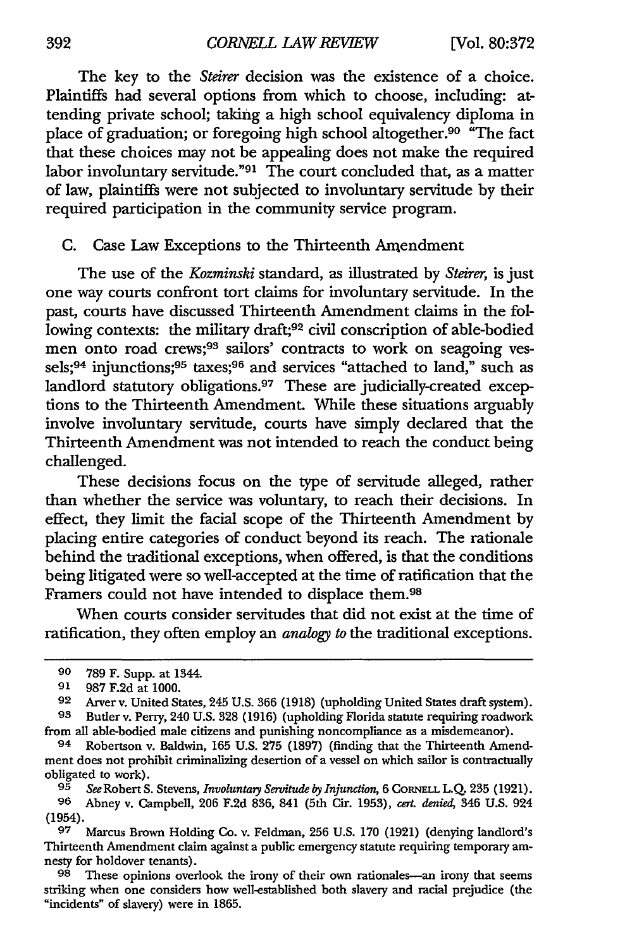The key to the *Steirer* decision was the existence of a choice. Plaintiffs had several options from which to choose, including: attending private school; taking a high school equivalency diploma in place of graduation; or foregoing high school altogether.90 "The fact that these choices may not be appealing does not make the required labor involuntary servitude."91 The court concluded that, as a matter of law, plaintiffs were not subjected to involuntary servitude by their required participation in the community service program.

**C.** Case Law Exceptions to the Thirteenth Arnendment

The use of the *Kozminski* standard, as illustrated by *Steirer,* is just one way courts confront tort claims for involuntary servitude. In the past, courts have discussed Thirteenth Amendment claims in the following contexts: the military draft;<sup>92</sup> civil conscription of able-bodied men onto road crews;<sup>93</sup> sailors' contracts to work on seagoing vessels;<sup>94</sup> injunctions;<sup>95</sup> taxes;<sup>96</sup> and services "attached to land," such as landlord statutory obligations.<sup>97</sup> These are judicially-created exceptions to the Thirteenth Amendment. While these situations arguably involve involuntary servitude, courts have simply declared that the Thirteenth Amendment was not intended to reach the conduct being challenged.

These decisions focus on the type of servitude alleged, rather than whether the service was voluntary, to reach their decisions. In effect, they limit the facial scope of the Thirteenth Amendment by placing entire categories of conduct beyond its reach. The rationale behind the traditional exceptions, when offered, is that the conditions being litigated were so well-accepted at the time of ratification that the Framers could not have intended to displace them.<sup>98</sup>

When courts consider servitudes that did not exist at the time of ratification, they often employ an *analogy to* the traditional exceptions.

**<sup>90</sup>** 789 F. Supp. at 1344.

**<sup>91</sup>** 987 F.2d at 1000.

<sup>92</sup> Arver v. United States, 245 U.S. 366 (1918) (upholding United States draft system). **93** Butler v. Perry, 240 U.S. 328 (1916) (upholding Florida statute requiring roadwork from all able-bodied male citizens and punishing noncompliance as a misdemeanor).

<sup>94</sup> Robertson v. Baldwin, 165 U.S. 275 (1897) (finding that the Thirteenth Amendment does not prohibit criminalizing desertion of a vessel on which sailor is contractually obligated to work).

**<sup>95</sup>** *See* Robert **S.** Stevens, *Involuntaty Servitude by Injunction,* 6 CoRNELL **L.Q.** 235 (1921). **96** Abney v. Campbell, 206 F.2d 836, 841 (5th Cir. 1953), *cert. denied,* 346 U.S. 924 (1954).

**<sup>97</sup>** Marcus Brown Holding Co. v. Feldman, 256 U.S. 170 (1921) (denying landlord's Thirteenth Amendment claim against a public emergency statute requiring temporary amnesty for holdover tenants).

**<sup>98</sup>** These opinions overlook the irony of their own rationales-an irony that seems striking when one considers how well-established both slavery and racial prejudice (the "incidents" of slavery) were in 1865.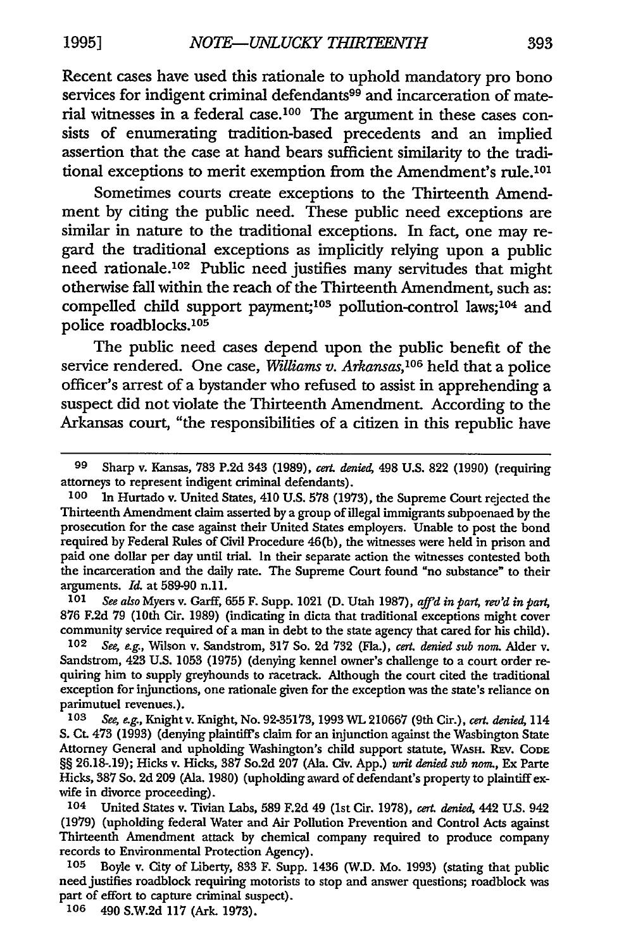Recent cases have used this rationale to uphold mandatory pro bono services for indigent criminal defendants<sup>99</sup> and incarceration of material witnesses in a federal case.100 The argument in these cases consists of enumerating tradition-based precedents and an implied assertion that the case at hand bears sufficient similarity to the traditional exceptions to merit exemption from the Amendment's rule.<sup>101</sup>

Sometimes courts create exceptions to the Thirteenth Amendment by citing the public need. These public need exceptions are similar in nature to the traditional exceptions. In fact, one may regard the traditional exceptions as implicitly relying upon a public need rationale.<sup>102</sup> Public need justifies many servitudes that might otherwise fall within the reach of the Thirteenth Amendment, such as: compelled child support payment;<sup>103</sup> pollution-control laws;<sup>104</sup> and police roadblocks.<sup>105</sup>

The public need cases depend upon the public benefit of the service rendered. One case, *Williams v. Arkansas*,<sup>106</sup> held that a police officer's arrest of a bystander who refused to assist in apprehending a suspect did not violate the Thirteenth Amendment. According to the Arkansas court, "the responsibilities of a citizen in this republic have

*101 See also* Myers v. Garff, **655** F. Supp. 1021 **(D.** Utah **1987),** *aff'd in part, rev'd in part,* **876 F.2d 79** (10th Cir. **1989)** (indicating in dicta that traditional exceptions might cover community service required of a man in debt to the state agency that cared for his child).

*102 See, e.g.,* Wilson v. Sandstrom, **317** So. **2d 732** (Fla.), *cert. denied sub noa.* Alder **v.** Sandstrom, 423 **U.S. 1053 (1975)** (denying kennel owner's challenge to a court order requiring him to supply greyhounds to racetrack. Although the court cited the traditional exception for injunctions, one rationale given for the exception was the state's reliance on parimutuel revenues.).

**104** United States v. Tivian Labs, **589 F.2d** 49 (1st Cir. **1978),** *cert. denied,* 442 **U.S.** 942 **(1979)** (upholding federal Water and **Air** Pollution Prevention and Control Acts against Thirteenth Amendment attack **by** chemical company required to produce company records to Environmental Protection Agency).

**105** Boyle v. City of Liberty, **833** F. Supp. 1436 (W.D. Mo. **1993)** (stating that public need justifies roadblock requiring motorists to stop and answer questions; roadblock was part of effort to capture criminal suspect).

**106** 490 **S.W.2d 117** (Ark. **1973).**

**<sup>99</sup>** Sharp v. Kansas, **783 P.2d** 343 (1989), *cert. denied,* 498 U.S. 822 (1990) (requiring attorneys to represent indigent criminal defendants).

**<sup>100</sup>** In Hurtado v. United States, 410 **U.S. 578 (1973),** the Supreme Court rejected the Thirteenth Amendment claim asserted **by** a group of illegal immigrants subpoenaed **by** the prosecution for the case against their United States employers. Unable to post the bond required **by** Federal Rules of Civil Procedure 46(b), the witnesses were held in prison and paid one dollar per day until trial. In their separate action the witnesses contested both the incarceration and the daily rate. The Supreme Court found "no substance" to their arguments. *Id.* at **589-90 n.11.**

*<sup>103</sup> Sep e.g.,* Knight v. Knight, No. **92-35173, 1993** WL **210667** (9th Cir.), *cert. denied,* 114 **S. Ct.** 473 **(1993)** (denying plaintiff's claim for an injunction against the Washington State Attorney General and upholding Washington's child support statute, **WASH. REV. CODE** §§ **26.18-.19);** Hicks v. Hicks, **387** So.2d **207** (Ala. Civ. **App.)** *writ denied sub nom,* Ex Parte Hicks, **387** So. **2d 209** (Ala. **1980)** (upholding award of defendant's property to plaintiff exwife in divorce proceeding).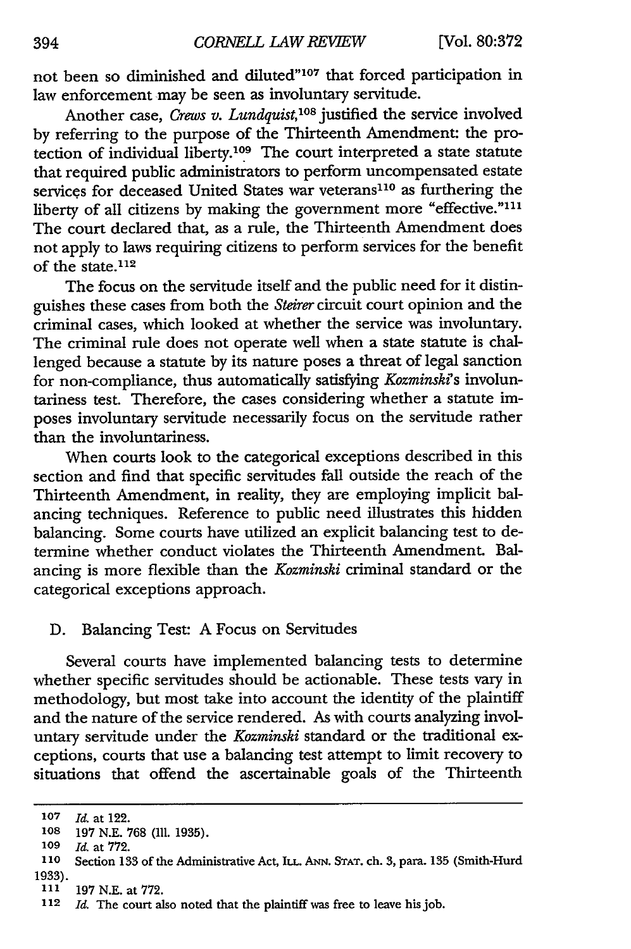not been so diminished and diluted"<sup>107</sup> that forced participation in law enforcement may be seen as involuntary servitude.

Another case, *Crews v. Lundquist*,<sup>108</sup> justified the service involved by referring to the purpose of the Thirteenth Amendment: the protection of individual liberty.<sup>109</sup> The court interpreted a state statute that required public administrators to perform uncompensated estate services for deceased United States war veterans<sup>110</sup> as furthering the liberty of all citizens by making the government more "effective."<sup>111</sup> The court declared that, as a rule, the Thirteenth Amendment does not apply to laws requiring citizens to perform services for the benefit of the state. $112$ 

The focus on the servitude itself and the public need for it distinguishes these cases from both the *Steirer* circuit court opinion and the criminal cases, which looked at whether the service was involuntary. The criminal rule does not operate well when a state statute is challenged because a statute by its nature poses a threat of legal sanction for non-compliance, thus automatically satisfying *Kozminski's* involuntariness test. Therefore, the cases considering whether a statute imposes involuntary servitude necessarily focus on the servitude rather than the involuntariness.

When courts look to the categorical exceptions described in this section and find that specific servitudes fall outside the reach of the Thirteenth Amendment, in reality, they are employing implicit balancing techniques. Reference to public need illustrates this hidden balancing. Some courts have utilized an explicit balancing test to determine whether conduct violates the Thirteenth Amendment. Balancing is more flexible than the *Kozminski* criminal standard or the categorical exceptions approach.

#### D. Balancing Test: A Focus on Servitudes

Several courts have implemented balancing tests to determine whether specific servitudes should be actionable. These tests vary in methodology, but most take into account the identity of the plaintiff and the nature of the service rendered. As with courts analyzing involuntary servitude under the *Kozminski* standard or the traditional exceptions, courts that use a balancing test attempt to limit recovery to situations that offend the ascertainable goals of the Thirteenth

**<sup>107</sup>** *Id.* at 122.

**<sup>108</sup>** 197 N.E. 768 (Ill. 1935).

**<sup>109</sup>** *Id.* at 772.

**<sup>110</sup>** Section 133 of the Administrative Act, ILL. **ANN. STAT.** ch. 3, para. 135 (Smith-Hurd 1933).

**<sup>111</sup>** 197 N.E. at 772.

<sup>112</sup> *Id.* The court also noted that the plaintiff was free to leave his job.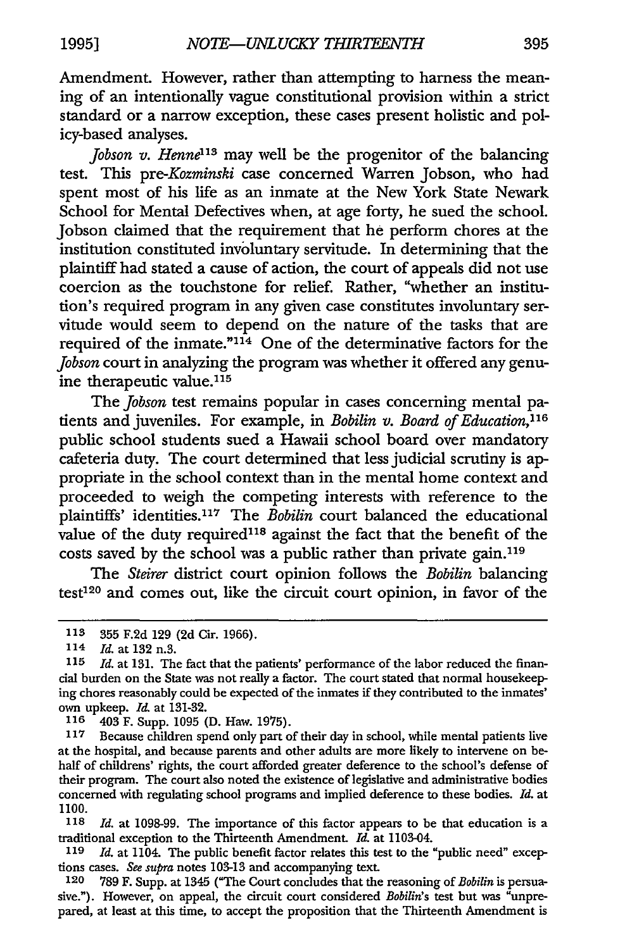Amendment. However, rather than attempting to harness the meaning of an intentionally vague constitutional provision within a strict standard or a narrow exception, these cases present holistic and policy-based analyses.

*Jobson v. Henne13* may well be the progenitor of the balancing test. This *pre-Kozminski* case concerned Warren Jobson, who had spent most of his life as an inmate at the New York State Newark School for Mental Defectives when, at age forty, he sued the school. Jobson claimed that the requirement that he perform chores at the institution constituted involuntary servitude. In determining that the plaintiff had stated a cause of action, the court of appeals did not use coercion as the touchstone for relief. Rather, "whether an institution's required program in any given case constitutes involuntary servitude would seem to depend on the nature of the tasks that are required of the inmate." $1\hat{4}$  One of the determinative factors for the *Jobson* court in analyzing the program was whether it offered any genuine therapeutic value.<sup>115</sup>

The *Jobson* test remains popular in cases concerning mental patients and juveniles. For example, in *Bobilin v. Board of Education*,<sup>116</sup> public school students sued a Hawaii school board over mandatory cafeteria duty. The court determined that less judicial scrutiny is appropriate in the school context than in the mental home context and proceeded to weigh the competing interests with reference to the plaintiffs' identities.<sup>117</sup> The *Bobilin* court balanced the educational value of the duty required<sup>118</sup> against the fact that the benefit of the costs saved by the school was a public rather than private gain. <sup>119</sup>

The *Steirer* district court opinion follows the *Bobilin* balancing test<sup>120</sup> and comes out, like the circuit court opinion, in favor of the

**116** 403 F. Supp. 1095 (D. Haw. 1975).

**117** Because children spend only part of their day in school, while menial patients live at the hospital, and because parents and other adults are more likely to intervene on behalf of childrens' rights, the court afforded greater deference to the school's defense of their program. The court also noted the existence of legislative and administrative bodies concerned with regulating school programs and implied deference to these bodies. *Id.* at 1100.

**118** *Id.* at 1098-99. The importance of this factor appears to be that education is a traditional exception to the Thirteenth Amendment. *Id.* at 1103-04.

**119** *Id.* at 1104. The public benefit factor relates this test to the "public need" exceptions cases. *See* supra notes 103-13 and accompanying text.

**120** 789 F. Supp. at 1345 ("The Court concludes that the reasoning of *Bobilin* is persuasive."). However, on appeal, the circuit court considered *Bobilin's* test but was "unprepared, at least at this time, to accept the proposition that the Thirteenth Amendment is

**<sup>113 355</sup>** F.2d **129 (2d** Cir. 1966).

<sup>114</sup> *Id.* at 132 n.3.

**<sup>115</sup>** *Id.* at 131. The fact that the patients' performance of the labor reduced the financial burden on the State was not really a factor. The court stated that normal housekeeping chores reasonably could be expected of the inmates if they contributed to the inmates' own upkeep. *Id.* at 131-32.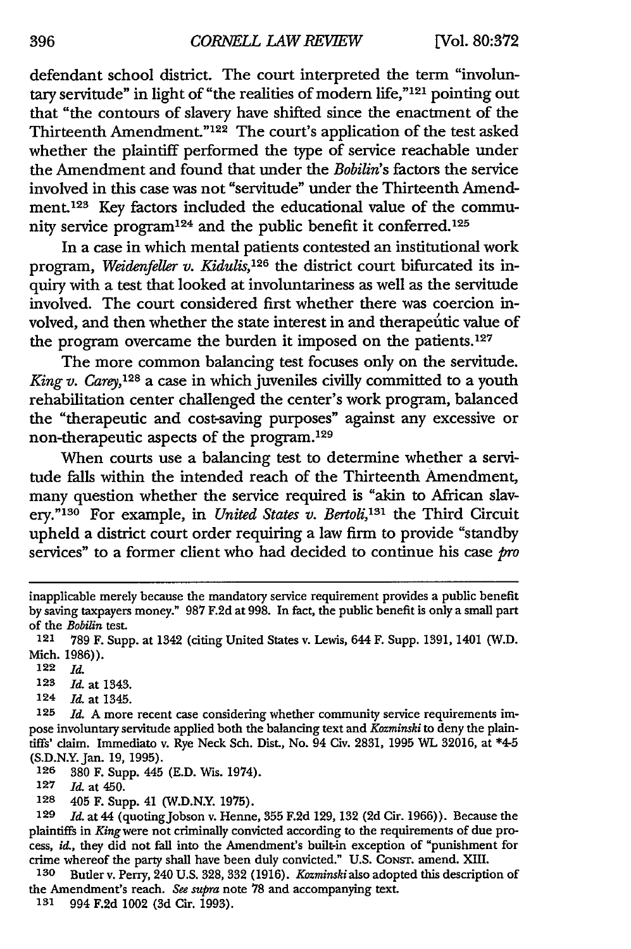defendant school district. The court interpreted the term "involuntary servitude" in light of "the realities of modem life," 121 pointing out that "the contours of slavery have shifted since the enactment of the Thirteenth Amendment."<sup>122</sup> The court's application of the test asked whether the plaintiff performed the type of service reachable under the Amendment and found that under the *Bobilin's* factors the service involved in this case was not "servitude" under the Thirteenth Amendment.<sup>123</sup> Key factors included the educational value of the community service program<sup>124</sup> and the public benefit it conferred.<sup>125</sup>

In a case in which mental patients contested an institutional work program, *Weidenfeller v. Kidulis*,<sup>126</sup> the district court bifurcated its inquiry with a test that looked at involuntariness as well as the servitude involved. The court considered first whether there was coercion involved, and then whether the state interest in and therapeutic value of the program overcame the burden it imposed on the patients.<sup>127</sup>

The more common balancing test focuses only on the servitude. *King v. Carey,128* a case in which juveniles civilly committed to a youth rehabilitation center challenged the center's work program, balanced the "therapeutic and cost-saving purposes" against any excessive or non-therapeutic aspects of the program. <sup>129</sup>

When courts use a balancing test to determine whether a servitude falls within the intended reach of the Thirteenth Amendment, many question whether the service required is "akin to African slavery."<sup>130</sup> For example, in *United States v. Bertoli*,<sup>131</sup> the Third Circuit upheld a district court order requiring a law firm to provide "standby services" to a former client who had decided to continue his case  $\mathit{pro}$ 

124 *Id.* at 1345.

**126 380** F. Supp. 445 (E.D. Wis. 1974).

inapplicable merely because the mandatory service requirement provides a public benefit **by** saving taxpayers money." **987** F.2d at 998. In fact, the public benefit is only a small part of the *Bobilin* test.

**<sup>121</sup>** 789 F. Supp. at 1342 (citing United States v. Lewis, 644 F. Supp. **1391,** 1401 (W.D. Mich. 1986)).

**<sup>122</sup>** *Id.*

**<sup>123</sup>** *Id* at 1343.

**<sup>125</sup>** *Id.* A more recent case considering whether community service requirements impose involuntary servitude applied both the balancing text and *Kozminski* to deny the plaintiffs' claim. Immediato v. Rye Neck Sch. Dist., No. 94 Civ. 2831, 1995 WL 32016, at \*4-5 (S.D.N.Y. Jan. 19, 1995).

**<sup>127</sup>** *Id.* at 450.

**<sup>128</sup>** 405 F. Supp. 41 (W.D.N.Y. 1975).

**<sup>129</sup>** *Id.* at 44 (quotingJobson v. Henne, **355** F.2d 129, **132** (2d Cir. 1966)). Because the plaintiffs in Kingwere not criminally convicted according to the requirements of due process, *id.,* they did not fall into the Amendment's built-in exception of "punishment for crime whereof the party shall have been duly convicted." U.S. CoNsr. amend. XIII.

**<sup>130</sup>** Butler v. Perry, 240 U.S. 328, **832** (1916). *Kozminski* also adopted this description of the Amendment's reach. *See supra* note 78 and accompanying text.

**<sup>131</sup>** 994 F.2d 1002 **(3d** Cir. 1993).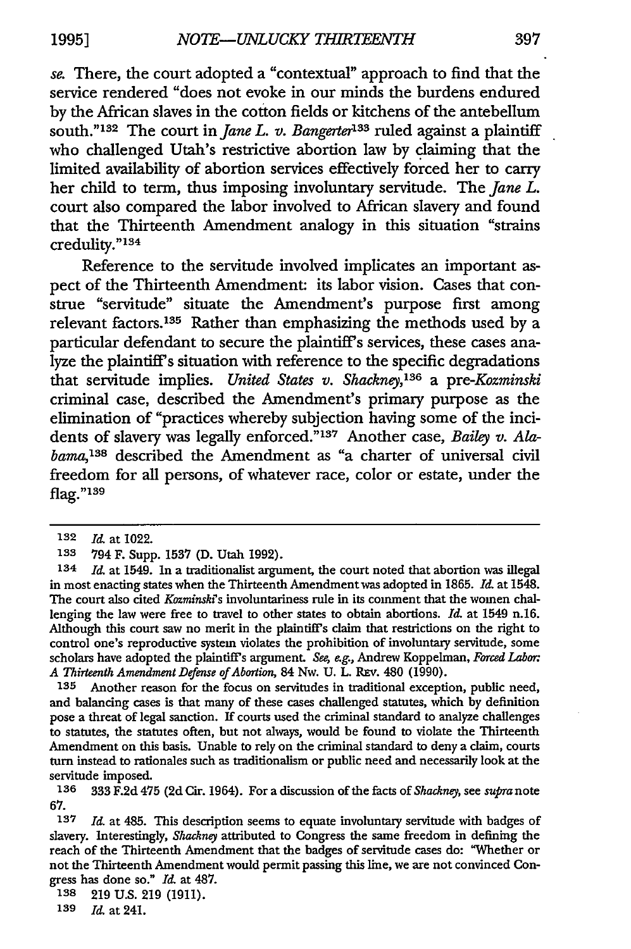*se.* There, the court adopted a "contextual" approach to find that the service rendered "does not evoke in our minds the burdens endured by the African slaves in the cotton fields or kitchens of the antebellum south."<sup>132</sup> The court in *Jane L. v. Bangerter*<sup>133</sup> ruled against a plaintiff who challenged Utah's restrictive abortion law by claiming that the limited availability of abortion services effectively forced her to carry her child to term, thus imposing involuntary servitude. The *Jane L.* court also compared the labor involved to African slavery and found that the Thirteenth Amendment analogy in this situation "strains credulity."134

Reference to the servitude involved implicates an important aspect of the Thirteenth Amendment: its labor vision. Cases that construe "servitude" situate the Amendment's purpose first among relevant factors.<sup>135</sup> Rather than emphasizing the methods used by a particular defendant to secure the plaintiff's services, these cases analyze the plaintiff's situation with reference to the specific degradations that servitude implies. *United States v. Shackney,13 <sup>6</sup>*a *pre-Kozminski* criminal case, described the Amendment's primary purpose as the elimination of "practices whereby subjection having some of the incidents of slavery was legally enforced." 137 Another case, *Bailey v. Alabama,138* described the Amendment as "a charter of universal civil freedom for all persons, of whatever race, color or estate, under the flag.'139

**138 219 U.S. 219 (1911).**

**139** *Id.* at 241.

**<sup>132</sup>** *Id.* at 1022.

**<sup>133</sup>** 794 F. Supp. **1537 (D.** Utah **1992).**

<sup>134</sup> *Id.* at 1549. In a traditionalist argument, the court noted that abortion was illegal in most enacting states when the Thirteenth Amendment was adopted in **1865.** *Id,* at 1548. The court also cited *Kozminskis* involuntariness rule in its comment that the women challenging the law were free to travel to other states to obtain abortions. *Id.* at 1549 n.16. Although this court saw no merit in the plaintiff's claim that restrictions on the right to control one's reproductive system violates the prohibition of involuntary servitude, some scholars have adopted the plaintiff's argument. *See,* e.g., Andrew Koppeman, *Forced Labor A* Thirteenth *Amendment Defense of Abortion,* 84 Nw. **U.** L REv. 480 **(1990).**

**<sup>135</sup>** Another reason for the focus on servitudes in traditional exception, public need, and balancing cases is that many of these cases challenged statutes, which **by** definition pose a threat of legal sanction. **If** courts used the criminal standard to analyze challenges to statutes, the statutes often, but not always, would be found to violate the Thirteenth Amendment on this basis. Unable to rely on the criminal standard to deny a claim, courts turn instead to rationales such as traditionalism or public need and necessarily look at the servitude imposed.

**<sup>136 333</sup> F.2d** 475 **(2d** Cir. 1964). For a discussion of the facts of *Shachney, see supra* note **67.**

**<sup>137</sup>** *Id.* at 485. This description seems to equate involuntary servitude with badges of slavery. Interestingly, *Shackney* attributed to Congress the same freedom in defining the reach of the Thirteenth Amendment that the badges of servitude cases do: "Whether or not the Thirteenth Amendment would permit passing this line, we are not convinced Congress has done so." *Id.* at **487.**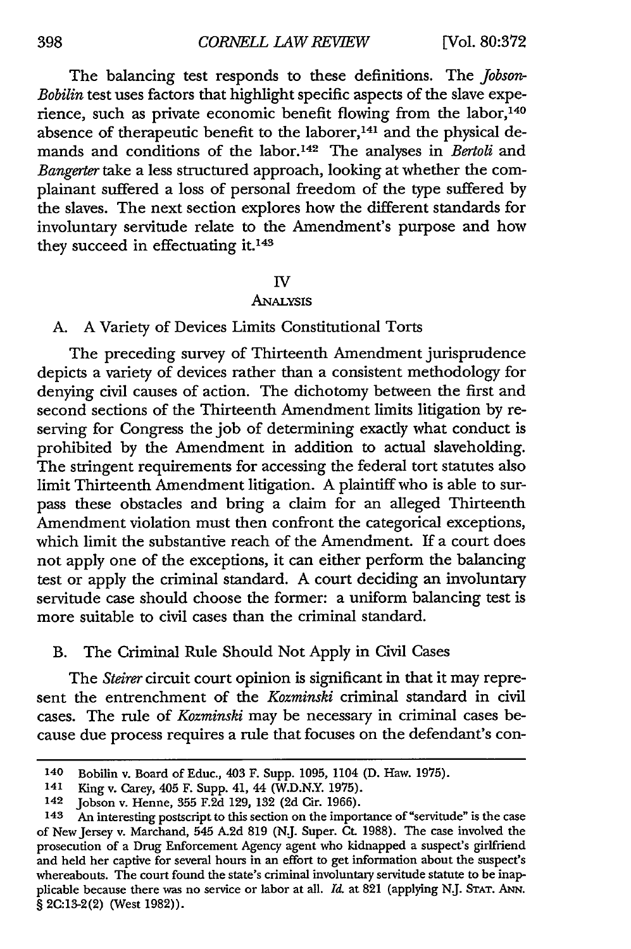The balancing test responds to these definitions. The *Jobson-Bobilin* test uses factors that highlight specific aspects of the slave experience, such as private economic benefit flowing from the labor,<sup>140</sup> absence of therapeutic benefit to the laborer,<sup>141</sup> and the physical demands and conditions of the labor.142 The analyses in *Bertoli* and *Bangerter* take a less structured approach, looking at whether the complainant suffered a loss of personal freedom of the type suffered by the slaves. The next section explores how the different standards for involuntary servitude relate to the Amendment's purpose and how they succeed in effectuating it.143

#### IV

#### **ANALYSIS**

#### A. A Variety of Devices Limits Constitutional Torts

The preceding survey of Thirteenth Amendment jurisprudence depicts a variety of devices rather than a consistent methodology for denying civil causes of action. The dichotomy between the first and second sections of the Thirteenth Amendment limits litigation by reserving for Congress the job of determining exactly what conduct is prohibited by the Amendment in addition to actual slaveholding. The stringent requirements for accessing the federal tort statutes also limit Thirteenth Amendment litigation. A plaintiff who is able to surpass these obstacles and bring a claim for an alleged Thirteenth Amendment violation must then confront the categorical exceptions, which limit the substantive reach of the Amendment. If a court does not apply one of the exceptions, it can either perform the balancing test or apply the criminal standard. A court deciding an involuntary servitude case should choose the former: a uniform balancing test is more suitable to civil cases than the criminal standard.

#### B. The Criminal Rule Should Not Apply in Civil Cases

The *Steirer* circuit court opinion is significant in that it may represent the entrenchment of the *Kozminski* criminal standard in civil cases. The rule of *Kozminski* may be necessary in criminal cases because due process requires a rule that focuses on the defendant's con-

**<sup>140</sup>** Bobilin v. Board of Educ., 403 F. Supp. **1095,** 1104 (D. Haw. 1975).

<sup>141</sup> King v. Carey, 405 F. Supp. 41, 44 (W.D.N.Y. 1975).

<sup>142</sup> Jobson v. Henne, 355 **F.2d** 129, 132 (2d Cir. 1966).

<sup>143</sup> An interesting postscript to this section on the importance of "servitude" is the case of NewJersey v. Marchand, 545 A.2d 819 (N.J. Super. Ct. 1988). The case involved the prosecution of a Drug Enforcement Agency agent who kidnapped a suspect's girlfriend and held her captive for several hours in an effort to get information about the suspect's whereabouts. The court found the state's criminal involuntary servitude statute to be inapplicable because there was no service or labor at all. *Id.* at 821 (applying N.J. **STAT. ANN.** § 2C:13-2(2) (West 1982)).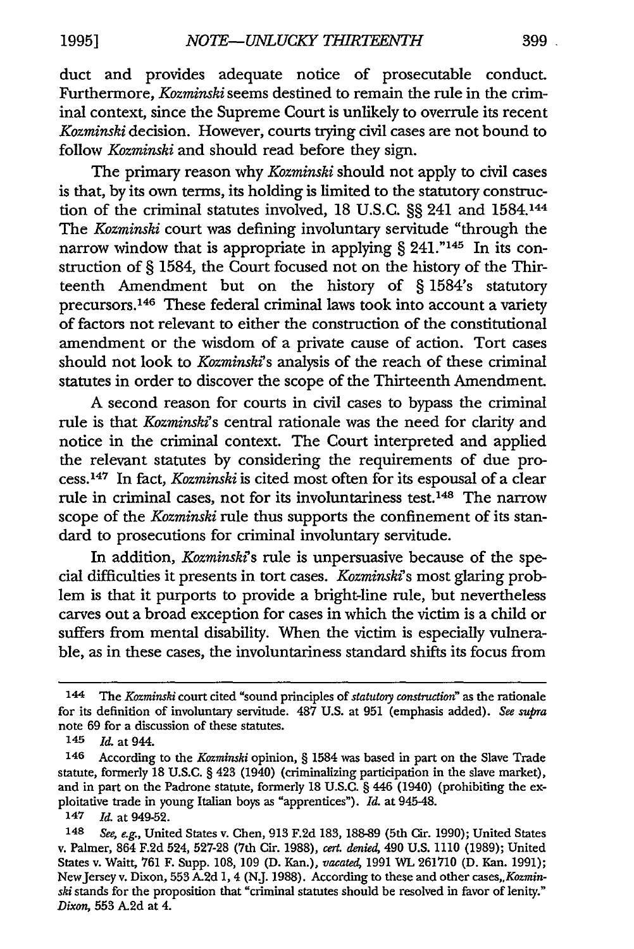duct and provides adequate notice of prosecutable conduct. Furthermore, *Kozminski* seems destined to remain the rule in the criminal context, since the Supreme Court is unlikely to overrule its recent *Kozminski* decision. However, courts trying civil cases are not bound to follow *Kozminski* and should read before they sign.

The primary reason why *Kozminski* should not apply to civil cases is that, by its own terms, its holding is limited to the statutory construction of the criminal statutes involved, 18 U.S.C. §§ 241 and 1584.144 The *Kozminski* court was defining involuntary servitude "through the narrow window that is appropriate in applying § 241."<sup>145</sup> In its construction of § 1584, the Court focused not on the history of the Thirteenth Amendment but on the history of § 1584's statutory precursors.146 These federal criminal laws took into account a variety of factors not relevant to either the construction of the constitutional amendment or the wisdom of a private cause of action. Tort cases should not look to *Kozminski's* analysis of the reach of these criminal statutes in order to discover the scope of the Thirteenth Amendment.

A second reason for courts in civil cases to bypass the criminal rule is that *Kozminski's* central rationale was the need for clarity and notice in the criminal context. The Court interpreted and applied the relevant statutes by considering the requirements of due process.147 In fact, *Kozminski* is cited most often for its espousal of a clear rule in criminal cases, not for its involuntariness test.<sup>148</sup> The narrow scope of the *Kozminski* rule thus supports the confinement of its standard to prosecutions for criminal involuntary servitude.

In addition, *Kozminskis* rule is unpersuasive because of the special difficulties it presents in tort cases. *Kozminski's* most glaring problem is that it purports to provide a bright-line rule, but nevertheless carves out a broad exception for cases in which the victim is a child or suffers from mental disability. When the victim is especially vulnerable, as in these cases, the involuntariness standard shifts its focus from

<sup>144</sup> The *Kozminski* court cited "sound principles of *statutory construction"* as the rationale for its definition of involuntary servitude. 487 U.S. at 951 (emphasis added). *See* supra note 69 for a discussion of these statutes.

**<sup>145</sup>** *Id.* at 944.

<sup>146</sup> According to the *Kozminski* opinion, § 1584 was based in part on the Slave Trade statute, formerly 18 U.S.C. § 423 (1940) (criminalizing participation in the slave market), and in part on the Padrone statute, formerly 18 U.S.C. § 446 (1940) (prohibiting the exploitative trade in young Italian boys as "apprentices"). *Id.* at 945-48.

<sup>147</sup> *Id.* at 949-52.

<sup>148</sup> *See, e.g.,* United States v. Chen, 913 F.2d 183, 188-89 (5th Cir. 1990); United States v. Palmer, 864 F.2d 524, 527-28 (7th Cir. 1988), *cert. denied,* 490 U.S. 1110 (1989); United States v. Waitt, 761 F. Supp. 108, 109 (D. Kan.), *vacated,* 1991 WL 261710 (D. Kan. 1991); NewJersey v. Dixon, 553 A.2d 1, 4 (NJ. 1988). According to these and other *cases,,Kozminski* stands for the proposition that "criminal statutes should be resolved in favor of lenity." *Dixon,* **553** A.2d at 4.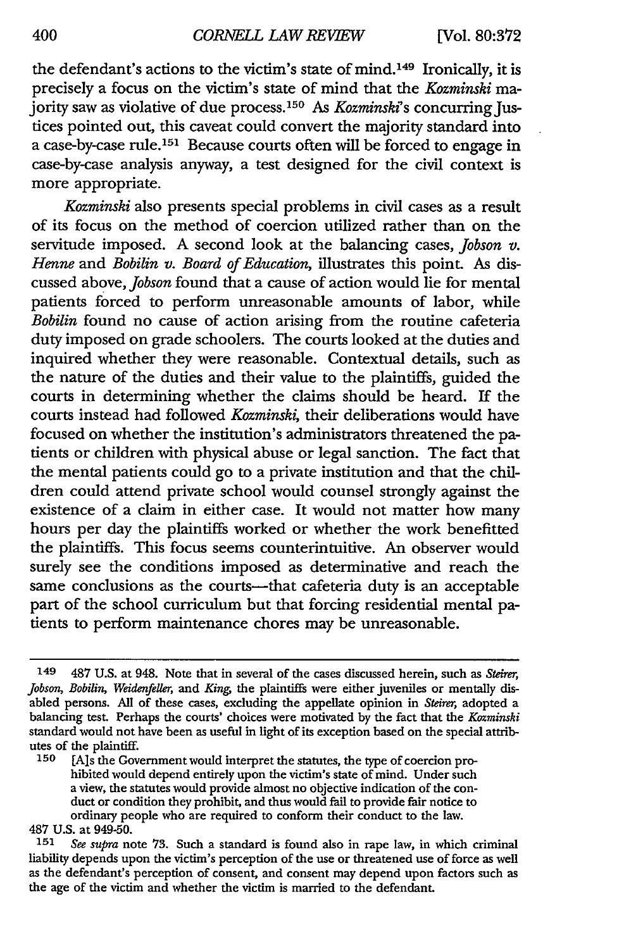the defendant's actions to the victim's state of mind.149 Ironically, it is precisely a focus on the victim's state of mind that the *Kozminski* majority saw as violative of due process.<sup>150</sup> As *Kozminski*'s concurring Justices pointed out, this caveat could convert the majority standard into a case-by-case rule. 151 Because courts often will be forced to engage in case-by-case analysis anyway, a test designed for the civil context is more appropriate.

*Kozminski* also presents special problems in civil cases as a result of its focus on the method of coercion utilized rather than on the servitude imposed. A second look at the balancing cases, *Jobson v. Henne* and *Bobilin v. Board of Education,* illustrates this point. As discussed above, *Jobson* found that a cause of action would lie for mental patients forced to perform unreasonable amounts of labor, while *Bobilin* found no cause of action arising from the routine cafeteria duty imposed on grade schoolers. The courts looked at the duties and inquired whether they were reasonable. Contextual details, such as the nature of the duties and their value to the plaintiffs, guided the courts in determining whether the claims should be heard. If the courts instead had followed *Kozminski,* their deliberations would have focused on whether the institution's administrators threatened the patients or children with physical abuse or legal sanction. The fact that the mental patients could go to a private institution and that the children could attend private school would counsel strongly against the existence of a claim in either case. It would not matter how many hours per day the plaintiffs worked or whether the work benefitted the plaintiffs. This focus seems counterintuitive. An observer would surely see the conditions imposed as determinative and reach the same conclusions as the courts-that cafeteria duty is an acceptable part of the school curriculum but that forcing residential mental patients to perform maintenance chores may be unreasonable.

<sup>149 487</sup> U.S. at 948. Note that in several of the cases discussed herein, such as *Steirer,* Jobson, Bobilin, Weidenfeller, and King, the plaintiffs were either juveniles or mentally disabled persons. All of these cases, excluding the appellate opinion in *Steirer,* adopted a balancing test. Perhaps the courts' choices were motivated by the fact that the *Kozminski* standard would not have been as useful in light of its exception based on the special attributes of the plaintiff. **150** [A]s the Government would interpret the statutes, the type of coercion pro-

hibited would depend entirely upon the victim's state of mind. Under such a view, the statutes would provide almost no objective indication of the conduct or condition they prohibit, and thus would fail to provide fair notice to ordinary people who are required to conform their conduct to the law.

<sup>487</sup> U.S. at 949-50.

**<sup>151</sup>** *See supra* note **73.** Such a standard is found also in rape law, in which criminal liability depends upon the victim's perception of the use or threatened use of force as well as the defendant's perception of consent, and consent may depend upon factors such as the age of the victim and whether the victim is married to the defendant.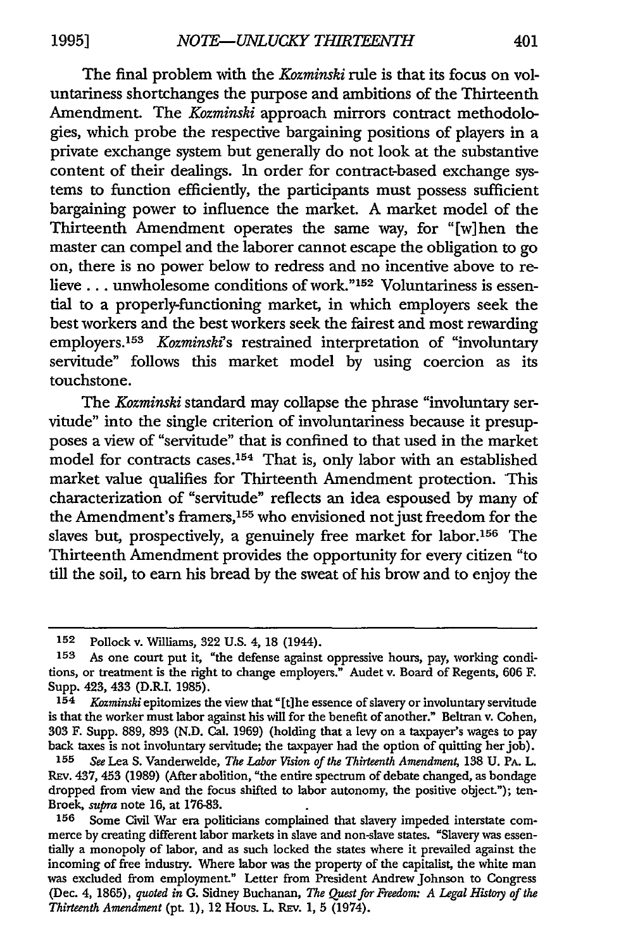The final problem with the *Kozminski* rule is that its focus on voluntariness shortchanges the purpose and ambitions of the Thirteenth Amendment. The *Kozminski* approach mirrors contract methodologies, which probe the respective bargaining positions of players in a private exchange system but generally do not look at the substantive content of their dealings. In order for contract-based exchange systems to function efficiently, the participants must possess sufficient bargaining power to influence the market. A market model of the Thirteenth Amendment operates the same way, for "[wihen the master can compel and the laborer cannot escape the obligation to go on, there is no power below to redress and no incentive above to relieve ... unwholesome conditions of work."<sup>152</sup> Voluntariness is essential to a properly-functioning market, in which employers seek the best workers and the best workers seek the fairest and most rewarding employers.<sup>153</sup> Kozminski's restrained interpretation of "involuntary servitude" follows this market model by using coercion as its touchstone.

The *Kozminski* standard may collapse the phrase "involuntary servitude" into the single criterion of involuntariness because it presupposes a view of "servitude" that is confined to that used in the market model for contracts cases.<sup>154</sup> That is, only labor with an established market value qualifies for Thirteenth Amendment protection. This characterization of "servitude" reflects an idea espoused by many of the Amendment's framers,<sup>155</sup> who envisioned not just freedom for the slaves but, prospectively, a genuinely free market for labor.<sup>156</sup> The Thirteenth Amendment provides the opportunity for every citizen "to till the soil, to earn his bread by the sweat of his brow and to enjoy the

**<sup>152</sup>** Pollock v. Williams, 322 **U.S.** 4, **18** (1944).

**<sup>153</sup>** As one court put *it,* "the defense against oppressive hours, pay, working conditions, or treatment is the right to change employers." Audet v. Board of Regents, 606 F. Supp. 423, 433 (D.R.I. 1985).

**<sup>154</sup>** *Kozminski* epitomizes the view that "[t]he essence of slavery or involuntary servitude is that the worker must labor against his will for the benefit of another." Beltran v. Cohen, 303 F. Supp. 889, **893** (N.D. Cal. 1969) (holding that a levy on a taxpayer's wages to pay back taxes is not involuntary servitude; the taxpayer had the option of quitting her job).

**<sup>155</sup>** *See* Lea S. Vanderwelde, *The Labor Vision of the Thirteenth Amendment,* **138** U. PA. L REV. 437, 453 (1989) (After abolition, "the entire spectrum of debate changed, as bondage dropped from view and the focus shifted to labor autonomy, the positive object."); ten-Broek, *supra* note **16,** at **176-83.**

**<sup>156</sup>** Some Civil War era politicians complained that slavery impeded interstate commerce by creating different labor markets in slave and non-slave states. "Slavery was essentiaily a monopoly of labor, and as such locked the states where it prevailed against the incoming of free industry. Where labor was the property of the capitalist, the white man was excluded from employment." Letter from President Andrew Johnson to Congress (Dec. 4, 1865), *quoted in* **G.** Sidney Buchanan, *The Quest for Freedom: A Legal Histoy of the Thirteenth Amendment* (pt. 1), 12 Hous. L. REV. 1, 5 (1974).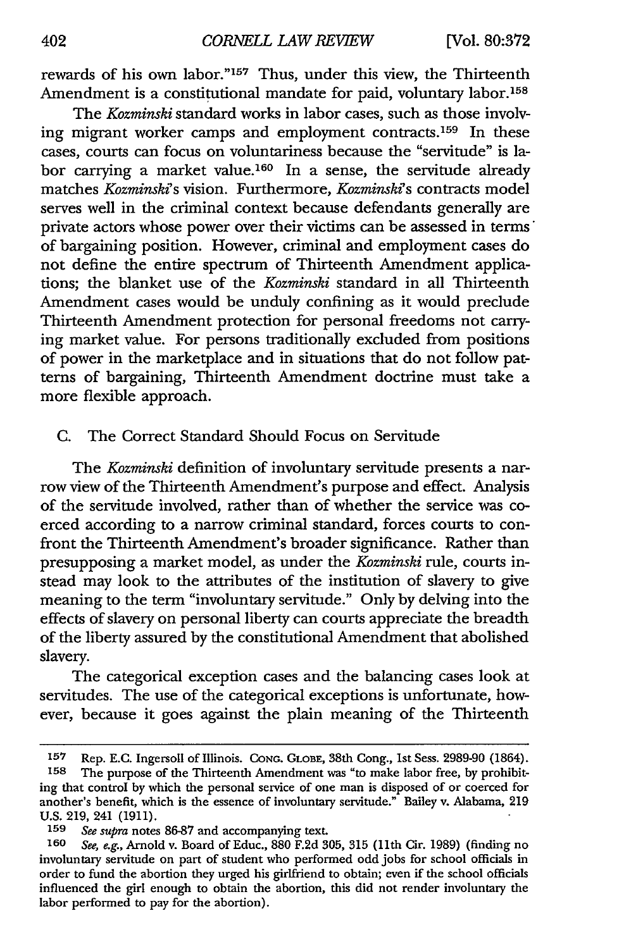rewards of his own labor."<sup>157</sup> Thus, under this view, the Thirteenth Amendment is a constitutional mandate for paid, voluntary labor.<sup>158</sup>

The *Kozminski* standard works in labor cases, such as those involving migrant worker camps and employment contracts. 159 In these cases, courts can focus on voluntariness because the "servitude" is labor carrying a market value.<sup>160</sup> In a sense, the servitude already matches *Kozminski's* vision. Furthermore, *Kozminski's* contracts model serves well in the criminal context because defendants generally are private actors whose power over their victims can be assessed in terms of bargaining position. However, criminal and employment cases do not define the entire spectrum of Thirteenth Amendment applications; the blanket use of the *Kozminski* standard in all Thirteenth Amendment cases would be unduly confining as it would preclude Thirteenth Amendment protection for personal freedoms not carrying market value. For persons traditionally excluded from positions of power in the marketplace and in situations that do not follow patterns of bargaining, Thirteenth Amendment doctrine must take a more flexible approach.

#### C. The Correct Standard Should Focus on Servitude

The *Kozminski* definition of involuntary servitude presents a narrow view of the Thirteenth Amendment's purpose and effect. Analysis of the servitude involved, rather than of whether the service was coerced according to a narrow criminal standard, forces courts to confront the Thirteenth Amendment's broader significance. Rather than presupposing a market model, as under the *Kozminski* rule, courts instead may look to the attributes of the institution of slavery to give meaning to the term "involuntary servitude." Only by delving into the effects of slavery on personal liberty can courts appreciate the breadth of the liberty assured by the constitutional Amendment that abolished slavery.

The categorical exception cases and the balancing cases look at servitudes. The use of the categorical exceptions is unfortunate, however, because it goes against the plain meaning of the Thirteenth

**<sup>157</sup>**Rep. **E.C.** Ingersoll of Illinois. **CoNG.** GLOBE, 38th Cong., 1st Sess. 2989-90 (1864).

**<sup>158</sup>** The purpose of the Thirteenth Amendment was "to make labor free, by prohibiting that control by which the personal service of one man is disposed of or coerced for another's benefit, which is the essence of involuntary servitude." Bailey v. Alabama, 219 U.S. 219, 241 (1911).

**<sup>159</sup>** *See supra* notes 86-87 and accompanying text.

**<sup>160</sup>** *See, e.g.,* Arnold v. Board of Educ., 880 F.2d 305, **315** (11th Cir. 1989) (finding no involuntary servitude on part of student who performed odd jobs for school officials in order to fund the abortion they urged his girlfriend to obtain; even if the school officials influenced the girl enough to obtain the abortion, this did not render involuntary the labor performed to pay for the abortion).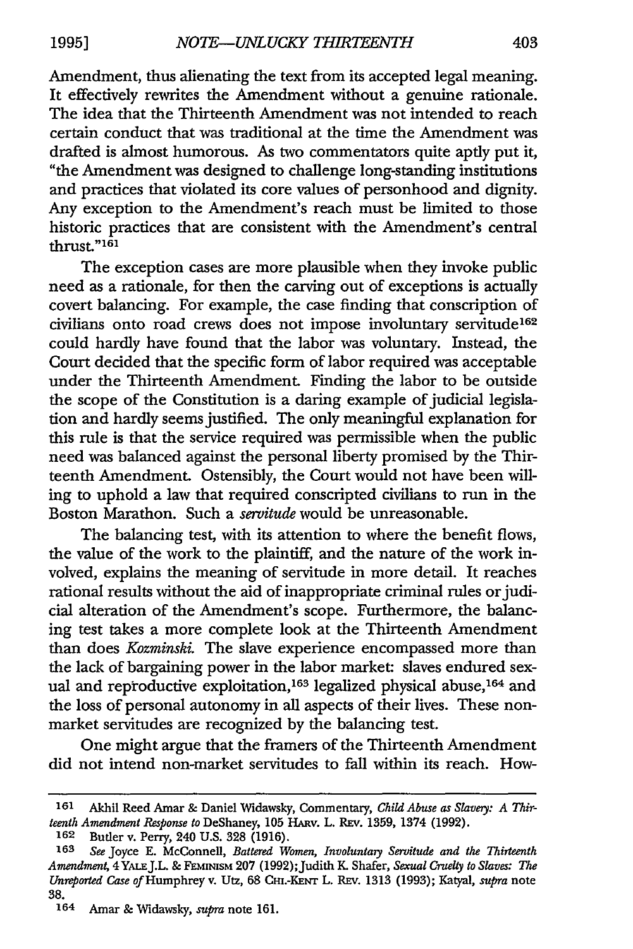Amendment, thus alienating the text from its accepted legal meaning. It effectively rewrites the Amendment without a genuine rationale. The idea that the Thirteenth Amendment was not intended to reach certain conduct that was traditional at the time the Amendment was drafted is almost humorous. As two commentators quite aptly put it, "the Amendment was designed to challenge long-standing institutions and practices that violated its core values of personhood and dignity. Any exception to the Amendment's reach must be limited to those historic practices that are consistent with the Amendment's central thrust<sup>"161</sup>

The exception cases are more plausible when they invoke public need as a rationale, for then the carving out of exceptions is actually covert balancing. For example, the case finding that conscription of civilians onto road crews does not impose involuntary servitude <sup>162</sup> could hardly have found that the labor was voluntary. Instead, the Court decided that the specific form of labor required was acceptable under the Thirteenth Amendment. Finding the labor to be outside the scope of the Constitution is a daring example of judicial legislation and hardly seems justified. The only meaningful explanation for this rule is that the service required was permissible when the public need was balanced against the personal liberty promised by the Thirteenth Amendment. Ostensibly, the Court would not have been willing to uphold a law that required conscripted civilians to run in the Boston Marathon. Such a *servitude* would be unreasonable.

The balancing test, with its attention to where the benefit flows, the value of the work to the plaintiff, and the nature of the work involved, explains the meaning of servitude in more detail. It reaches rational results without the aid of inappropriate criminal rules or judicial alteration of the Amendment's scope. Furthermore, the balancing test takes a more complete look at the Thirteenth Amendment than does *Kozminski.* The slave experience encompassed more than the lack of bargaining power in the labor market: slaves endured sexual and reproductive exploitation, 163 legalized physical abuse, <sup>164</sup> and the loss of personal autonomy in all aspects of their lives. These nonmarket servitudes are recognized by the balancing test.

One might argue that the framers of the Thirteenth Amendment did not intend non-market servitudes to fall within its reach. How-

**<sup>161</sup>** Akhil Reed Amar **&** Daniel Widawsky, Commentary, *Child Abuse as Slavery: A Thirteenth Amendment Response to* DeShaney, 105 HARv. L. REv. 1359, 1374 (1992).

**<sup>162</sup>** Butler v. Perry, 240 U.S. 328 (1916).

*<sup>163</sup> See* Joyce E. McConnell, *Battered Women, Involuntary Servitude and the Thirteenth Amendment* 4YALEJ.L. **& FEMINISM** 207 (1992);Judith *K.* Shafer, *Sexual Cruelty to Slaves: The Unreported Case of* Humphrey v. Utz, 68 Cm.-KErr L. REv. 1313 (1993); Katyal, *supra* note 38.

<sup>164</sup> Amar **&** Widawsky, *supra* note 161.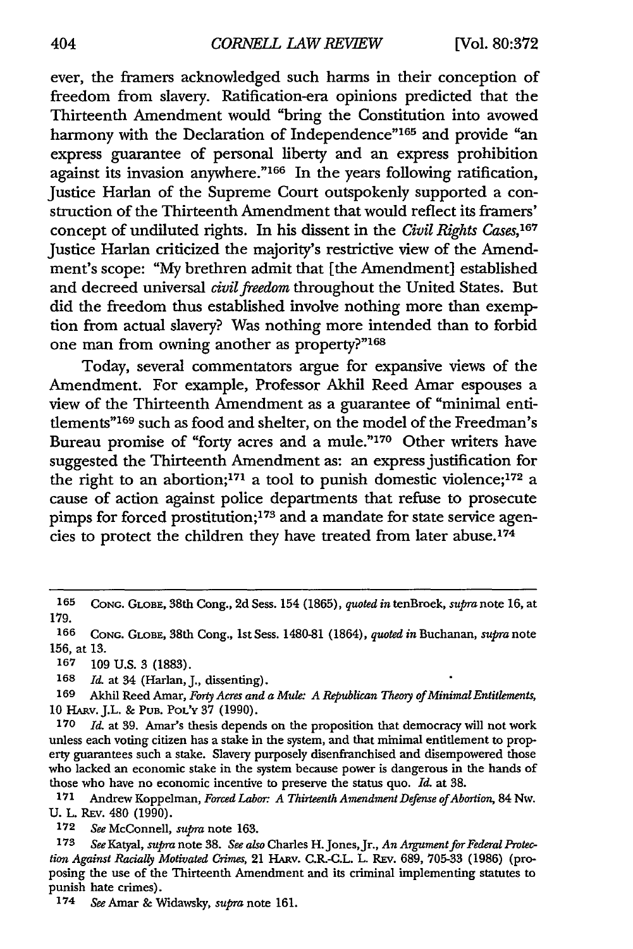ever, the framers acknowledged such harms in their conception of freedom from slavery. Ratification-era opinions predicted that the Thirteenth Amendment would "bring the Constitution into avowed harmony with the Declaration of Independence"<sup>165</sup> and provide "an express guarantee of personal liberty and an express prohibition against its invasion anywhere."<sup>166</sup> In the years following ratification, Justice Harlan of the Supreme Court outspokenly supported a construction of the Thirteenth Amendment that would reflect its framers' concept of undiluted rights. In his dissent in the *Civil Rights Cases,167* Justice Harlan criticized the majority's restrictive view of the Amendment's scope: "My brethren admit that [the Amendment] established and decreed universal *civil freedom* throughout the United States. But did the freedom thus established involve nothing more than exemption from actual slavery? Was nothing more intended than to forbid one man from owning another as property?"<sup>168</sup>

Today, several commentators argue for expansive views of the Amendment. For example, Professor Akhil Reed Amar espouses a view of the Thirteenth Amendment as a guarantee of "minimal entitlements"169 such as food and shelter, on the model of the Freedman's Bureau promise of "forty acres and a mule."170 Other writers have suggested the Thirteenth Amendment as: an express justification for the right to an abortion;<sup>171</sup> a tool to punish domestic violence;<sup>172</sup> a cause of action against police departments that refuse to prosecute pimps for forced prostitution;<sup>173</sup> and a mandate for state service agencies to protect the children they have treated from later abuse.<sup>174</sup>

**<sup>165</sup> CONG.** GLOBE, 38th Cong., 2d Sess. 154 (1865), *quoted in* tenBroek, *supra* note **16,** at 179.

**<sup>166</sup> CONG. GLOBE,** 38th Cong., 1st Sess. 1480-81 (1864), *quoted in* Buchanan, *supra* note 156, at **13.**

**<sup>167</sup>** 109 U.S. 3 (1883).

**<sup>168</sup>** *Id.* at 34 (Harlan, J., dissenting).

**<sup>169</sup>** Akhil Reed Amar, *Forty Acres and a Mule: A Republican Theoy of Minimal Entitlements,* 10 H v. J.L. **& PUB.** *POL'v* 37 (1990).

**<sup>170</sup>** *Id.* at 39. Amar's thesis depends on the proposition that democracy will not work unless each voting citizen has a stake in the system, and that minimal entitlement to property guarantees such a stake. Slavery purposely disenfranchised and disempowered those who lacked an economic stake in the system because power is dangerous in the hands of those who have no economic incentive to preserve the status quo. *Id.* at 38.

**<sup>171</sup>**Andrew Koppelman, *Forced Labor A Thirteenth Amendment Defense of Abortion,* 84 Nw. U. L. Rev. 480 (1990).

**<sup>172</sup>** *See* McConnell, supra note 163.

<sup>173</sup> See Katyal, *supra* note 38. See also Charles H. Jones, Jr., An Argument for Federal Protection Against Racially Motivated Crimes, 21 HARV. C.R.-C.L. L. REV. 689, 705-33 (1986) (proposing the use of the Thirteenth Amendment and its criminal implementing statutes to punish hate crimes).

<sup>174</sup> *See* Amar & Widawsky, *supra* note 161.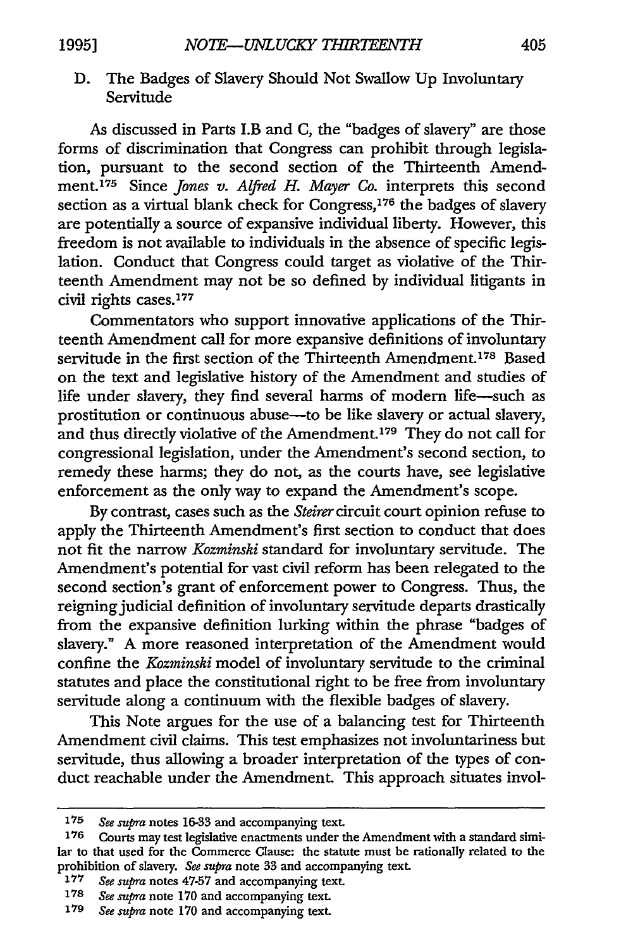D. The Badges of Slavery Should Not Swallow Up Involuntary Servitude

As discussed in Parts I.B and C, the "badges of slavery" are those forms of discrimination that Congress can prohibit through legislation, pursuant to the second section of the Thirteenth Amendment.<sup>175</sup> Since *Jones v. Alfred H. Mayer Co.* interprets this second section as a virtual blank check for Congress,<sup>176</sup> the badges of slavery are potentially a source of expansive individual liberty. However, this freedom is not available to individuals in the absence of specific legislation. Conduct that Congress could target as violative of the Thirteenth Amendment may not be so defined by individual litigants in civil rights cases. <sup>177</sup>

Commentators who support innovative applications of the Thirteenth Amendment call for more expansive definitions of involuntary servitude in the first section of the Thirteenth Amendment.<sup>178</sup> Based on the text and legislative history of the Amendment and studies of life under slavery, they find several harms of modem life-such as prostitution or continuous abuse-to be like slavery or actual slavery, and thus directly violative of the Amendment.<sup>179</sup> They do not call for congressional legislation, under the Amendment's second section, to remedy these harms; they do not, as the courts have, see legislative enforcement as the only way to expand the Amendment's scope.

By contrast, cases such as the *Steirer* circuit court opinion refuse to apply the Thirteenth Amendment's first section to conduct that does not fit the narrow *Kozminski* standard for involuntary servitude. The Amendment's potential for vast civil reform has been relegated to the second section's grant of enforcement power to Congress. Thus, the reigning judicial definition of involuntary servitude departs drastically from the expansive definition lurking within the phrase "badges of slavery." **A** more reasoned interpretation of the Amendment would confine the *Kozminski* model of involuntary servitude to the criminal statutes and place the constitutional right to be free from involuntary servitude along a continuum with the flexible badges of slavery.

This Note argues for the use of a balancing test for Thirteenth Amendment civil claims. This test emphasizes not involuntariness but servitude, thus allowing a broader interpretation of the types of conduct reachable under the Amendment. This approach situates invol-

**<sup>175</sup>** *See supra* notes **16-33** and accompanying text.

**<sup>176</sup>** Courts may test legislative enactments under the Amendment **with** a standard similar to that used for the Commerce Clause: the statute must be rationally related to the prohibition of slavery. *See supra* note **33** and accompanying text.

**<sup>177</sup>** *See supra* notes **47-57** and accompanying text.

**<sup>178</sup>** *See supra* note **170** and accompanying text.

**<sup>179</sup>** *See supra* note **170** and accompanying text.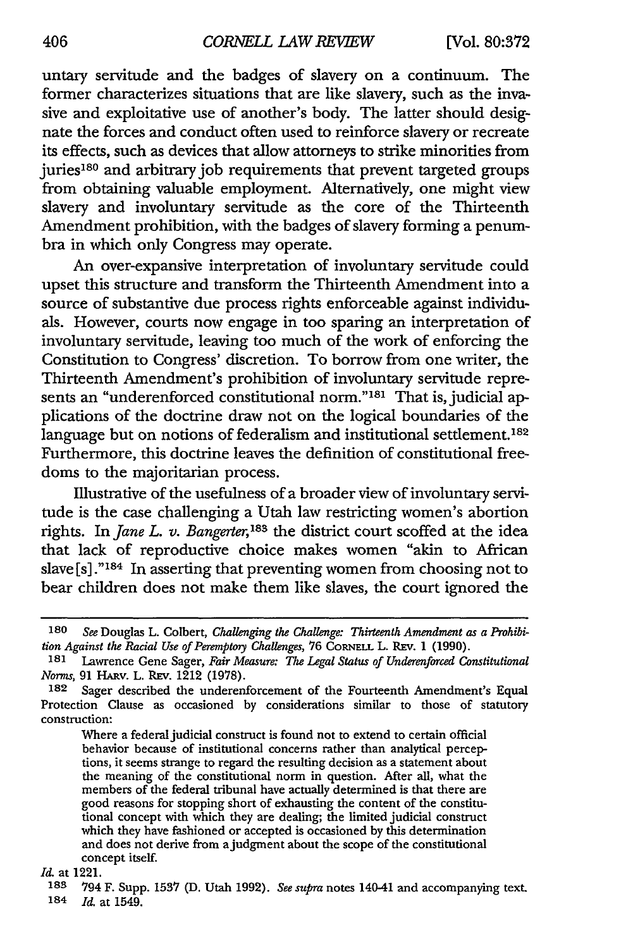untary servitude and the badges of slavery on a continuum. The former characterizes situations that are like slavery, such as the invasive and exploitative use of another's body. The latter should designate the forces and conduct often used to reinforce slavery or recreate its effects, such as devices that allow attorneys to strike minorities from juries<sup>180</sup> and arbitrary job requirements that prevent targeted groups from obtaining valuable employment. Alternatively, one might view slavery and involuntary servitude as the core of the Thirteenth Amendment prohibition, with the badges of slavery forming a penumbra in which only Congress may operate.

An over-expansive interpretation of involuntary servitude could upset this structure and transform the Thirteenth Amendment into a source of substantive due process rights enforceable against individuals. However, courts now engage in too sparing an interpretation of involuntary servitude, leaving too much of the work of enforcing the Constitution to Congress' discretion. To borrow from one writer, the Thirteenth Amendment's prohibition of involuntary servitude represents an "underenforced constitutional norm."181 That is, judicial applications of the doctrine draw not on the logical boundaries of the language but on notions of federalism and institutional settlement.<sup>182</sup> Furthermore, this doctrine leaves the definition of constitutional freedoms to the majoritarian process.

Illustrative of the usefulness of a broader view of involuntary servitude is the case challenging a Utah law restricting women's abortion rights. In *Jane L. v. Bangerter*,<sup>183</sup> the district court scoffed at the idea that lack of reproductive choice makes women "akin to African slave **[s]."184** In asserting that preventing women from choosing not to bear children does not make them like slaves, the court ignored the

#### *Id.* at 1221.

184 *Id.* at 1549.

*<sup>180</sup> See* Douglas L. Colbert, *Challenging the Challenge: Thirteenth Amendment as a Prohibi*tion Against the Racial Use of Peremptory Challenges, 76 CORNELL L. REv. 1 (1990).

**<sup>181</sup>** Lawrence Gene Sager, *Fair Measure: The Legal Status of Underenforced Constitutional Norms*, 91 HARV. L. REV. 1212 (1978).

**<sup>182</sup>** Sager described the underenforcement of the Fourteenth Amendment's Equal Protection Clause as occasioned by considerations similar to those of statutory construction:

Where a federal judicial construct is found not to extend to certain official behavior because of institutional concerns rather than analytical perceptions, it seems strange to regard the resulting decision as a statement about the meaning of the constitutional norm in question. After all, what the members of the federal tribunal have actually determined is that there are good reasons for stopping short of exhausting the content of the constitutional concept with which they are dealing; the limited judicial construct which they have fashioned or accepted is occasioned **by** this determination and does not derive from a judgment about the scope of the constitutional concept itself.

**<sup>188</sup>** 794 F. Supp. 1537 (D. Utah 1992). *See supra* notes 140-41 and accompanying text.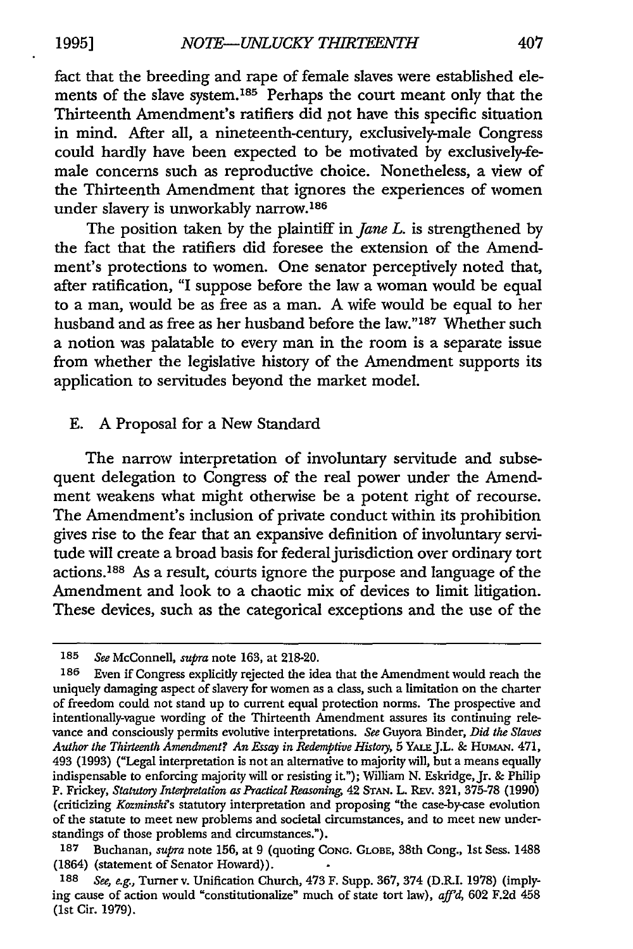fact that the breeding and rape of female slaves were established elements of the slave system.<sup>185</sup> Perhaps the court meant only that the Thirteenth Amendment's ratifiers did not have this specific situation in mind. After all, a nineteenth-century, exclusively-male Congress could hardly have been expected to be motivated by exclusively-female concerns such as reproductive choice. Nonetheless, a view of the Thirteenth Amendment that ignores the experiences of women under slavery is unworkably narrow.<sup>186</sup>

The position taken by the plaintiff in *Jane L.* is strengthened by the fact that the ratifiers did foresee the extension of the Amendment's protections to women. One senator perceptively noted that, after ratification, "I suppose before the law a woman would be equal to a man, would be as free as a man. A wife would be equal to her husband and as free as her husband before the law."<sup>187</sup> Whether such a notion was palatable to every man in the room is a separate issue from whether the legislative history of the Amendment supports its application to servitudes beyond the market model.

#### E. A Proposal for a New Standard

The narrow interpretation of involuntary servitude and subsequent delegation to Congress of the real power under the Amendment weakens what might otherwise be a potent right of recourse. The Amendment's inclusion of private conduct within its prohibition gives rise to the fear that an expansive definition of involuntary servitude will create a broad basis for federal jurisdiction over ordinary tort actions. 188 As a result, courts ignore the purpose and language of the Amendment and look to a chaotic mix of devices to limit litigation. These devices, such as the categorical exceptions and the use of the

**<sup>185</sup>** *See* McConnell, *supra* note 163, at **218-20.**

**<sup>186</sup>** Even if Congress explicitly rejected the idea that the Amendment would reach the uniquely damaging aspect of slavery for women as a class, such a limitation on the charter of freedom could not stand up to current equal protection norms. The prospective and intentionally-vague wording of the Thirteenth Amendment assures its continuing relevance and consciously permits evolutive interpretations. *See* Guyora Binder, *Did the Slaves* Author the Thirteenth Amendment? An Essay in Redemptive History, 5 YALE J.L. & HUMAN. 471, 493 (1993) ("Legal interpretation is not an alternative to majority will, but a means equally indispensable to enforcing majority will or resisting it."); William N. Eskridge, Jr. & Philip P. Frickey, *Statutory Interpretation as Practical Reasoning*, 42 SrAN. L. REV. 321, 375-78 (1990) (criticizing *Kozminski's* statutory interpretation and proposing "the case-by-case evolution of the statute to meet new problems and societal circumstances, and to meet new understandings of those problems and circumstances.").

**<sup>187</sup>** Buchanan, supra note 156, at 9 (quoting **CONG.** GLOBE, 38th Cong., 1st Sess. 1488 (1864) (statement of Senator Howard)).

**<sup>188</sup>** *See, e.g.,* Turner v. Unification Church, 473 F. Supp. 367, 374 (DR.I. 1978) (implying cause of action would "constitutionalize" much of state tort law), *af'd,* 602 F.2d 458 (1st Cir. 1979).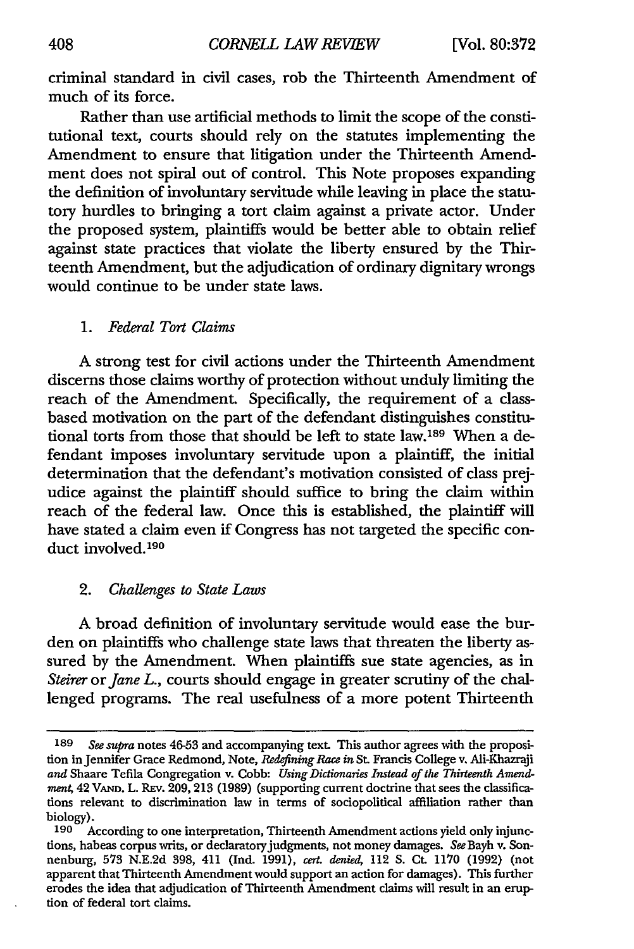criminal standard in civil cases, rob the Thirteenth Amendment of much of its force.

Rather than use artificial methods to limit the scope of the constitutional text, courts should rely on the statutes implementing the Amendment to ensure that litigation under the Thirteenth Amendment does not spiral out of control. This Note proposes expanding the definition of involuntary servitude while leaving in place the statutory hurdles to bringing a tort claim against a private actor. Under the proposed system, plaintiffs would be better able to obtain relief against state practices that violate the liberty ensured **by** the Thirteenth Amendment, but the adjudication of ordinary dignitary wrongs would continue to be under state laws.

#### *1. Federal Tort Claims*

A strong test for civil actions under the Thirteenth Amendment discerns those claims worthy of protection without unduly limiting the reach of the Amendment. Specifically, the requirement of a classbased motivation on the part of the defendant distinguishes constitutional torts from those that should be left to state law. 189 When a **de**fendant imposes involuntary servitude upon a plaintiff, the initial determination that the defendant's motivation consisted of class prejudice against the plaintiff should suffice to bring the claim within reach of the federal law. Once this is established, the plaintiff will have stated a claim even if Congress has not targeted the specific conduct involved.<sup>190</sup>

#### *2. Challenges to State Laws*

A broad definition of involuntary servitude would ease the burden on plaintiffs who challenge state laws that threaten the liberty assured by the Amendment. When plaintiffs sue state agencies, as in *Steirer or Jane L.,* courts should engage in greater scrutiny of the challenged programs. The real usefulness of a more potent Thirteenth

**<sup>189</sup>** *See supra* notes **46-53** and accompanying text. This author agrees with the proposition in Jennifer Grace Redmond, Note, *Redefining Race in* **St.** Francis College v. Ali-Khazraji *and* Shaare Tefila Congregation v. Cobb: *Using Dictionaries Instead of the Thirteenth Amend*ment, 42 VAND. L. REV. 209, 213 (1989) (supporting current doctrine that sees the classifica**tions** relevant to discrimination law in terms of sociopolitical affiliation rather than biology).

**<sup>190</sup>** According to one interpretation, Thirteenth Amendment actions yield only injunctions, habeas corpus writs, or declaratory judgments, not money damages. *See* Bayh v. Sonnenburg, **573 N.E.2d 398,** 411 **(Ind. 1991),** *cert. denied,* 112 **S.** Ct. **1170 (1992)** (not apparent that Thirteenth Amendment would support an action for damages). This further erodes the idea that adjudication of Thirteenth Amendment claims will result in an eruption of federal tort claims.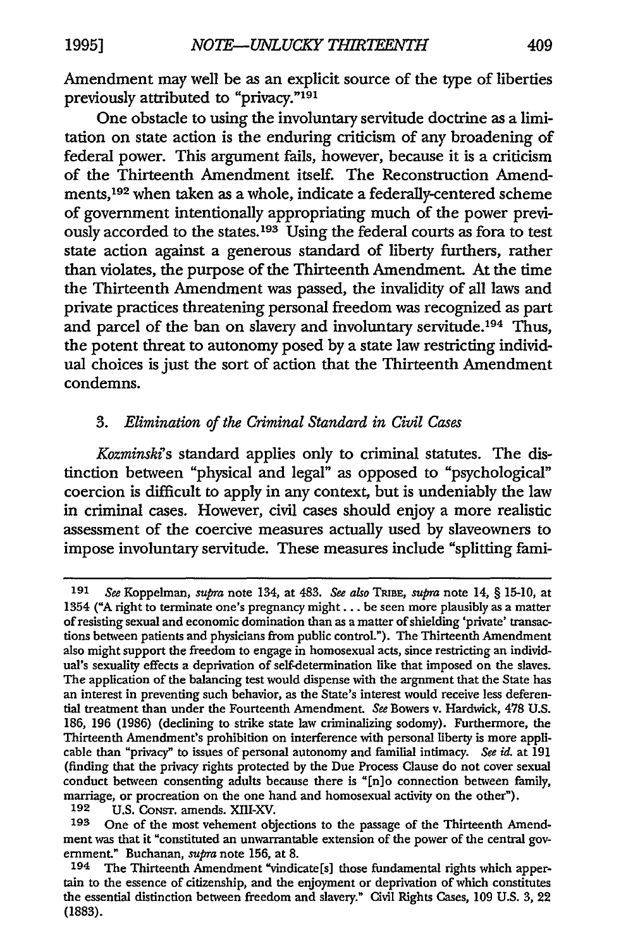Amendment may well be as an explicit source of the type of liberties previously attributed to "privacy."<sup>191</sup>

One obstacle to using the involuntary servitude doctrine as a limitation on state action is the enduring criticism of any broadening of federal power. This argument fails, however, because it is a criticism of the Thirteenth Amendment itself. The Reconstruction Amendments, 192 when taken as a whole, indicate a federally-centered scheme of government intentionally appropriating much of the power previously accorded to the states.<sup>193</sup> Using the federal courts as fora to test state action against a generous standard of liberty furthers, rather than violates, the purpose of the Thirteenth Amendment. At the time the Thirteenth Amendment was passed, the invalidity of all laws and private practices threatening personal freedom was recognized as part and parcel of the ban on slavery and involuntary servitude.<sup>194</sup> Thus, the potent threat to autonomy posed by a state law restricting individual choices is just the sort of action that the Thirteenth Amendment condemns.

### *3. Elimination of the Criminal Standard in Civil Cases*

*Kozminski's* standard applies only to criminal statutes. The distinction between "physical and legal" as opposed to "psychological" coercion is difficult to apply in any context, but is undeniably the law in criminal cases. However, civil cases should enjoy a more realistic assessment of the coercive measures actually used by slaveowners to impose involuntary servitude. These measures include "splitting fami-

**<sup>191</sup>** *See* Koppelman, *supra* note 134, at 483. *See also TRME, supra* note 14, § **15-10,** at 1354 **("A** right to terminate one's pregnancy might.., be seen more plausibly as a matter of resisting sexual and economic domination than as a matter of shielding 'private' transactions between patients and physicians from public control."). The Thirteenth Amendment also might support the freedom to engage in homosexual acts, since restricting an individual's sexuality effects a deprivation of self-determination like that imposed on the slaves. The application of the balancing test would dispense with the argument that the State has an interest in preventing such behavior, as the State's interest would receive less deferential treatment than under the Fourteenth Amendment. *See* Bowers v. Hardwick, 478 U.S. 186, 196 (1986) (declining to strike state law criminalizing sodomy). Furthermore, the Thirteenth Amendment's prohibition on interference with personal liberty is more applicable than "privacy" to issues of personal autonomy and familial intimacy. *See id.* at 191 (finding that the privacy rights protected by the Due Process Clause do not cover sexual conduct between consenting adults because there is "[n]o connection between family, marriage, or procreation on the one hand and homosexual activity on the other").

**<sup>192</sup>** U.S. CoNsr. amends. XIII-XV.

**<sup>193</sup>** One of the most vehement objections to the passage of the Thirteenth Amendment was that it "constituted an unwarrantable extension of the power of the central government." Buchanan, supra note 156, at 8.

**<sup>194</sup>** The Thirteenth Amendment "vindicate[s] those fundamental rights which appertain to the essence of citizenship, and the enjoyment or deprivation of which constitutes the essential distinction between freedom and slavery." Civil Rights Cases, 109 U.S. 3, 22 **(1883).**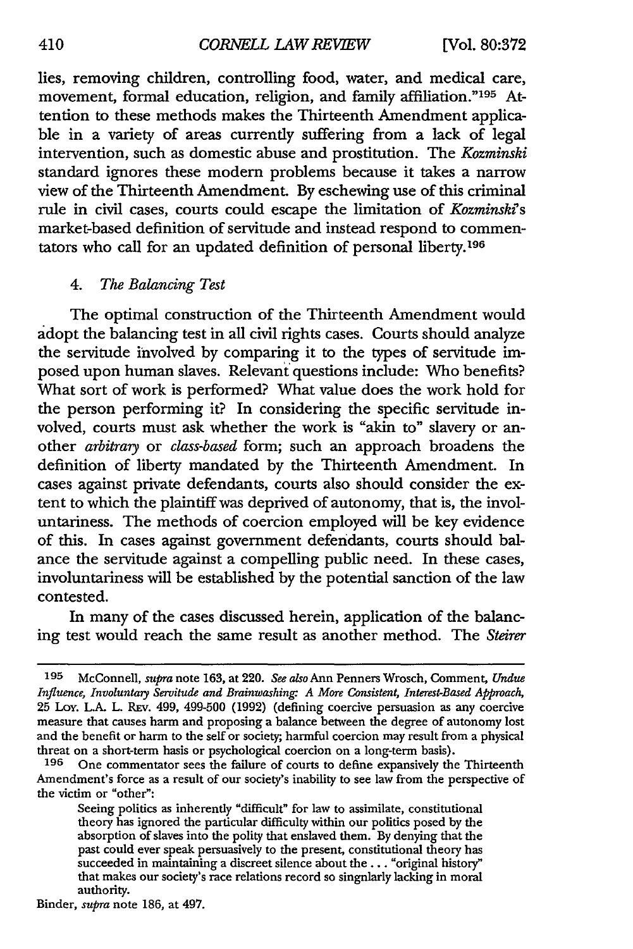lies, removing children, controlling food, water, and medical care, movement, formal education, religion, and family affiliation."<sup>195</sup> Attention to these methods makes the Thirteenth Amendment applicable in a variety of areas currently suffering from a lack of legal intervention, such as domestic abuse and prostitution. The *Kozminski* standard ignores these modem problems because it takes a narrow view of the Thirteenth Amendment. By eschewing use of this criminal rule in civil cases, courts could escape the limitation of *Kozminski's* market-based definition of servitude and instead respond to commentators who call for an updated definition of personal liberty.<sup>196</sup>

#### *4. The Balancing Test*

The optimal construction of the Thirteenth Amendment would adopt the balancing test in all civil rights cases. Courts should analyze the servitude involved by comparing it to the types of servitude imposed upon human slaves. Relevant questions include: Who benefits? What sort of work is performed? What value does the work hold for the person performing it? In considering the specific servitude involved, courts must ask whether the work is "akin to" slavery or another *arbitrary* or *class-based* form; such an approach broadens the definition of liberty mandated by the Thirteenth Amendment. In cases against private defendants, courts also should consider the extent to which the plaintiff was deprived of autonomy, that is, the involuntariness. The methods of coercion employed will be key evidence of this. In cases against government defendants, courts should balance the servitude against a compelling public need. In these cases, involuntariness will be established by the potential sanction of the law contested.

In many of the cases discussed herein, application of the balancing test would reach the same result as another method. The *Steirer*

Binder, *supra* note 186, at 497.

**<sup>195</sup>** McConnell, *supra* note 163, at 220. *See also* Ann Penners Wrosch, Comment, *Undue Influence, Involuntary Servitude and Brainwashing. A More Consistent, Interest-Based Approach,* 25 Loy. **L.** L. REv. 499, 499-500 (1992) (defining coercive persuasion as any coercive measure that causes harm and proposing a balance between the degree of autonomy lost and the benefit or harm to the self or society, harmful coercion may result from a physical threat on a short-term hasis or psychological coercion on a long-term basis).<br><sup>196</sup> One commentator sees the failure of courts to define expansively the Thirteenth

Amendment's force as a result of our society's inability to see law from the perspective of the victim or "other":

Seeing politics as inherently "difficult" for law to assimilate, constitutional theory has ignored the particular difficulty within our politics posed by the absorption of slaves into the polity that enslaved them. By denying that the past could ever speak persuasively to the present, constitutional theory has succeeded in maintaining a discreet silence about the... "original history" that makes our society's race relations record so singularly lacking in moral authority.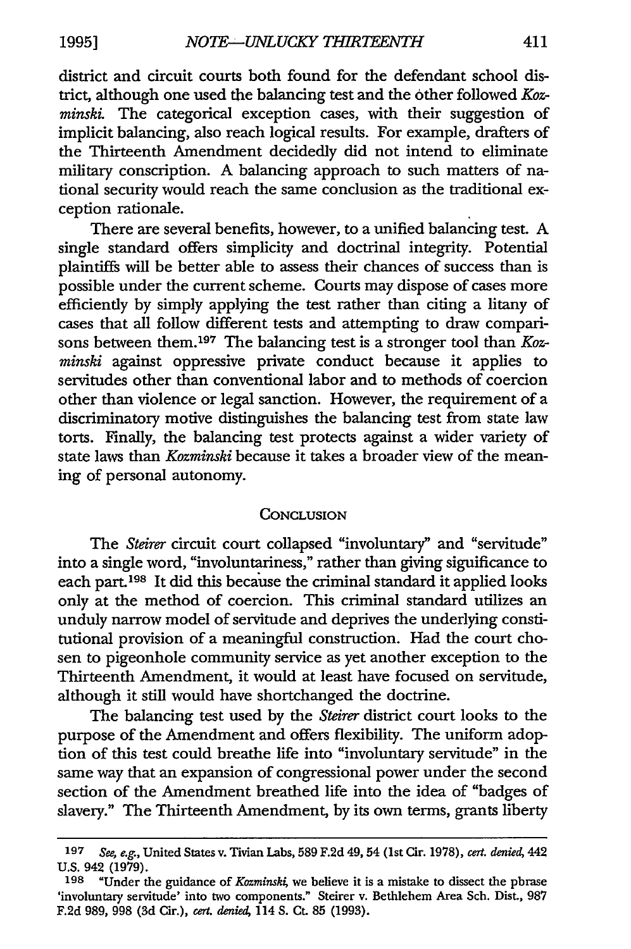district and circuit courts both found for the defendant school district, although one used the balancing test and the other followed *Kozminski.* The categorical exception cases, with their suggestion of implicit balancing, also reach logical results. For example, drafters of the Thirteenth Amendment decidedly did not intend to eliminate military conscription. A balancing approach to such matters of national security would reach the same conclusion as the traditional exception rationale.

There are several benefits, however, to a unified balancing test. A single standard offers simplicity and doctrinal integrity. Potential plaintiffs will be better able to assess their chances of success than is possible under the current scheme. Courts may dispose of cases more efficiently by simply applying the test rather than citing a litany of cases that all follow different tests and attempting to draw comparisons between them.197 The balancing test is a stronger tool than *Kozminski* against oppressive private conduct because it applies to servitudes other than conventional labor and to methods of coercion other than violence or legal sanction. However, the requirement of a discriminatory motive distinguishes the balancing test from state law torts. Finally, the balancing test protects against a wider variety of state laws than *Kozminski* because it takes a broader view of the meaning of personal autonomy.

#### **CONCLUSION**

The *Steirer* circuit court collapsed "involuntary" and "servitude" into a single word, "involuntariness," rather than giving significance to each part.198 It did this because the criminal standard it applied looks only at the method of coercion. This criminal standard utilizes an unduly narrow model of servitude and deprives the underlying constitutional provision of a meaningful construction. Had the court chosen to pigeonhole community service as yet another exception to the Thirteenth Amendment, it would at least have focused on servitude, although it still would have shortchanged the doctrine.

The balancing test used by the *Steirer* district court looks to the purpose of the Amendment and offers flexibility. The uniform adoption of this test could breathe life into "involuntary servitude" in the same way that an expansion of congressional power under the second section of the Amendment breathed life into the idea of "badges of slavery." The Thirteenth Amendment, by its own terms, grants liberty

**<sup>197</sup>***See, e.g.,* United States v. Tivian Labs, **589** F.2d 49,54 (lst Cir. 1978), *cert. denied,* 442 **U.S.** 942 (1979).

**<sup>198</sup>** "Under the guidance of *Kozminsk4* we believe it is a mistake to dissect the phrase 'involuntary servitude' into two components." Steirer v. Bethlehem Area Sch. Dist., 987 F.2d 989, 998 (3d Cir.), *cert. denied,* 114 S. **CL** 85 (1993).